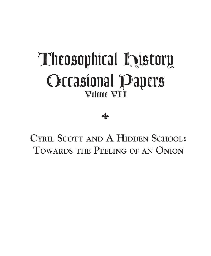# *Theosophical History Occasional Papers Volume VII*

 $\frac{1}{2}$ 

**CYRIL SCOTT AND A HIDDEN SCHOOL: TOWARDS THE PEELING OF AN ONION**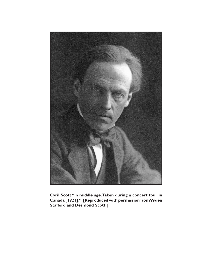

Cyril Scott "in middle age. Taken during a concert tour in Canada [1921]." [Reproduced with permission from Vivien **Stafford and Desmond Scott.]**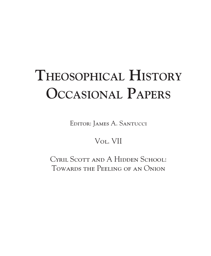# **THEOSOPHICAL HISTORY OCCASIONAL PAPERS**

Editor: James A. Santucci

### Vol. VII

CYRIL SCOTT AND A HIDDEN SCHOOL: Towards the Peeling of an Onion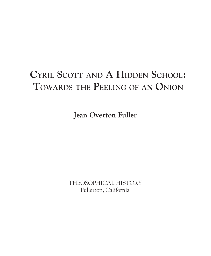## **CYRIL SCOTT AND A HIDDEN SCHOOL: TOWARDS THE PEELING OF AN ONION**

**Jean Overton Fuller**

THEOSOPHICAL HISTORY Fullerton, California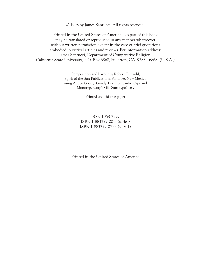© 1998 by James Santucci. All rights reserved.

Printed in the United States of America. No part of this book may be translated or reproduced in any manner whatsoever without written permission except in the case of brief quotations embodied in critical articles and reviews. For information address: James Santucci, Department of Comparative Religion, California State University, P.O. Box 6868, Fullerton, CA 92834-6868 (U.S.A.)

> Composition and Layout by Robert Hütwohl, Spirit of the Sun Publications, Santa Fe, New Mexico using Adobe Goudy, Goudy Text Lombardic Caps and Monotype Corp's Gill Sans typefaces.

> > Printed on acid-free paper

#### ISSN 1068-2597 ISBN 1-883279-00-3 (series) ISBN 1-883279-07-0 (v. VII)

Printed in the United States of America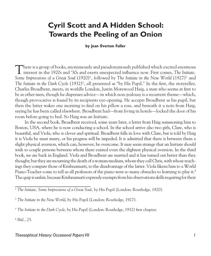### **Cyril Scott and A Hidden School: Towards the Peeling of an Onion**

#### **by Jean Overton Fuller**

There is a group of books, anonymously and pseudonymously published which excited enormous interest in the 1920s and '30s and exerts unexpected influence now. First comes, *The Initiate, Some Impressions of a Great Soul* (1920)<sup>1</sup>, followed by *The Initiate in the New World* (1927)<sup>2</sup> and *The Initiate in the Dark Cycle* (1932)3 , all presented as "by His Pupil.*"* In the first, the storyteller, Charles Broadbent, meets, in worldly London, Justin Morewood Haig, a man who seems at first to be as other men, though he dispenses advice*—*in which non-jealousy is a recurrent theme*—*which, though provocative is found by its recipients eye-opening. He accepts Broadbent as his pupil, but then the latter wakes one morning to find on his pillow a rose, and beneath it a note from Haig, saying he has been called elsewhere. Broadbent had*—*from living in hotels*—*locked the door of his room before going to bed. So Haig was an Initiate.

In the second book, Broadbent received, some years later, a letter from Haig summoning him to Boston, USA, where he is now conducting a school. In the school arrive also two girls, Clare, who is beautiful, and Viola, who is clever and spiritual. Broadbent falls in love with Clare, but is told by Haig it is Viola he must marry, or his progress will be impeded. It is admitted that there is between them a slight physical aversion, which can, however, be overcome. It may seem strange that an Initiate should wish to couple persons between whom there existed even the slightest physical aversion. In the third book, we are back in England. Viola and Broadbent are married and it has turned out better than they thought; but they are mourning the death of a woman medium, whom they call Chris, with whose teachings they compare those of Krishnamurti, to the disadvantage of the latter. Viola likens him to a World Piano-Teacher come to tell us all professors of the piano were so many obstacles to learning to play it.<sup>4</sup> The quip is unfair, because Krishnamurti expressly exempts from his observations skills requiring for their

<sup>4</sup> *Ibid.*, 25.

<sup>&</sup>lt;sup>1</sup> The Initiate; Some Impressions of a Great Soul, by His Pupil (London: Routledge, 1920).

<sup>&</sup>lt;sup>2</sup> The Initiate in the New World, by His Pupil (London: Routledge, 1927).

<sup>&</sup>lt;sup>3</sup> The Initiate in the Dark Cycle, by His Pupil (London: Routledge, 1932) first chapter.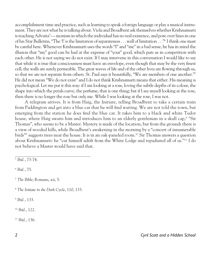accomplishment time and practice, such as learning to speak a foreign language or play a musical instrument. They are not what he is talking about. Viola and Broadbent ask themselves whether Krishnamurti is teaching Advaita<sup>5</sup> — monism in which the individual has no real existence, and pore over lines in one of his Star Bulletins, "The 'I' is the limitation of separateness . . . wall of limitation . . ."6 I think one must be careful here. Whenever Krishnamurti uses the words "I" and "me" in a bad sense, he has in mind the illusion that "my" good can be had at the expense of "your" good, which puts us in competition with each other. He is not saying we do not exist. If I may intervene in this conversation I would like to say that while it is true that consciousness must have an envelope, even though that may be the very finest cell, the walls are surely permeable. The great waves of life and of the other lives are flowing through us, so that we are not separate from others. St. Paul says it beautifully, "We are members of one another."7 He did not mean "We do not exist" and I do not think Krishnamurti means that either. His meaning is psychological. Let me put it this way: if I am looking at a rose, loving the subtle depths of its colour, the shape into which the petals curve, the perfume, that is one thing; but if I see myself looking at the rose, then there is no longer the rose but only me. While I was looking at the rose, I was not.

A telegram arrives. It is from Haig, the Initiate, telling Broadbent to take a certain train from Paddington and get into a blue car that he will find waiting. We are not told the town, but emerging from the station he does find the blue car. It takes him to a black and white Tudor house, where Haig awaits him and introduces him to an elderly gentleman in a skull cap,<sup>8</sup> "Sir Thomas", who seems to be a Master. Mystery is made of the location, but from the grounds there is a view of wooded hills, while Broadbent's awakening in the morning by a "concert of innumerable birds"9 suggests trees near the house. It is in an oak-paneled room.10 Sir Thomas answers a question about Krishnamurti: he "cut himself adrift from the White Lodge and repudiated all of us."11 I do not believe a Master would have said that.

<sup>6</sup> *Ibid.*, 75.

<sup>7</sup> *The Bible*; Romans, xii, 5.

<sup>8</sup> *The Initiate in the Dark Cycle*, 110, 133.

<sup>9</sup> *Ibid.*, 133.

<sup>10</sup> *Ibid.*, 122.

<sup>11</sup> *Ibid.*, 136.

<sup>5</sup> *Ibid.*, 73-74.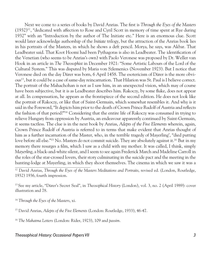Next we come to a series of books by David Anrias. The first is *Through the Eyes of the Masters*  $(1932)^{12}$ , "dedicated with affection to Rose and Cyril Scott in memory of time spent at Rye during 1932" with an "Introduction by the author of The Initiate etc." Here is an enormous clue. Scott would later acknowledge authorship of the *Initiate* trilogy, but the attraction of the Anrias book lies in his portraits of the Masters, in which he shows a deft pencil. Morya, he says, was Akbar. That Leadbeater said. That Koot Hoomi had been Pythagoras is also in Leadbeater. The identification of the Venetian (who seems to be Anrias's own) with Paolo Veronese was proposed by Dr. Weller van Hook in an article in *The Theosophist* in December 1921: "Some Artistic Labours of the Lord of the Cultural System." This was disputed by Maria von Szlemenics (November 1923). But I notice that Veronese died on the day Dürer was born, 6 April 1458. The esotericism of Dürer is the more obvious13 , but it could be a case of same-day reincarnation. That Hilarion was St. Paul is I believe correct. The portrait of the Mahachohan is not as I saw him, in an unexpected vision, which may of course have been subjective, but it is as Leadbeater describes him. Rakoczy, by some fluke, does not appear at all. In compensation, he appears as the frontispiece of the second edition. He does not look like the portrait of Rakoczy, or like that of Saint-Germain, which somewhat resembles it. And why is it said in the Foreword, "It depicts him prior to the death of Crown Prince Rudolf of Austria and reflects the fashion of that period?"14 Considering that the entire life of Rakoczy was consumed in trying to relieve Hungary from oppression by Austria, an endeavour apparently continued by Saint-Germain, it seems tactless. The clue is in the next book by Anrias, *Adepts of the Five Elements* wherein, again, Crown Prince Rudolf of Austria is referred to in terms that make evident that Anrias thought of him as a further incarnation of the Master, who, in the terrible tragedy of Mayerling', "died putting love before all else."<sup>15</sup> No. Masters do not commit suicide. They are absolutely against it.<sup>16</sup> But in my memory there resurges a film, which I saw as a child with my mother. It was called, I think, simply *Mayerling*, a black-and-white silent, and I seem to see again Frederick March and Madeline Carroll in the roles of the star-crossed lovers, their story culminating in the suicide pact and the meeting in the hunting-lodge at Mayerling, in which they shoot themselves. The cinema in which we saw it was a

12 David Anrias, *Through the Eyes of the Masters Meditations and Portraits*, revised ed. (London, Routledge, 1932) 1936, fourth impression.

13 See my article, "Dürer's Secret Seal", in *Theosophical History* (London), vol. 3, no. 2 (April 1989): cover illustration and 78.

<sup>14</sup> *Through the Eyes of the Masters*, xi.

15 David Anrias, *Adepts of the Five Elements* (London: Routledge, 1933), 46-47.

<sup>16</sup> *The Mahatma Letters* (London: Rider, 1923), 109 and *passim.*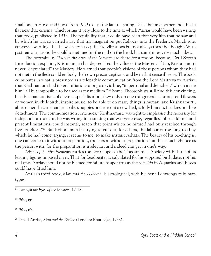small one in Hove, and it was from 1929 to*—*at the latest*—*spring 1931, that my mother and I had a flat near that cinema, which brings it very close to the time at which Anrias would have been writing that book, published in 1935. The possibility that it could have been that very film that he saw and by which he was so carried away that his imagination put Rakoczy into the Frederick March role, conveys a warning, that he was very susceptible to vibrations but not always those he thought. With past reincarnations, he could sometimes hit the nail on the head, but sometimes very much askew.

The portraits in *Through the Eyes of the Masters* are there for a reason: because, Cyril Scott's Introduction explains, Krishnamurti has depreciated the value of the Masters."17 No, Krishnamurti never "depreciated" the Masters. He warned that people's visions of these persons whom they had not met in the flesh could embody their own preconceptions, and be in that sense illusory. The book culminates in what is presented as a telepathic communication from the Lord Maitreya to Anrias: that Krishnamurti had taken initiations along a devic line, "impersonal and detached," which made him "all but impossible to be used as my medium."<sup>18</sup> Some Theosophists still find this convincing, but the characteristic of devas is specialisation; they only do one thing: tend a shrine, tend flowers or women in childbirth, inspire music; to be able to do many things is human, and Krishnamurti, able to mend a car, change a baby's nappies or clean out a cowshed, is fully human. He does not like detachment. The communication continues, "Krishnamurti was right to emphasise the necessity for independent thought, he was wrong in assuming that everyone else, regardless of past karma and present limitations, could instantly reach that point which he himself had only reached through lives of effort."19 But Krishnamurti is trying to cut out, for others, the labour of the long road by which he had come; trying, it seems to me, to make instant Arhats. The beauty of his teaching is, one can come to it without preparation, the person without preparation stands as much chance as the person with, for the preparation is irrelevant and indeed can get in one's way.

*Adepts of the Five Elements* carries the horoscope of the Theosophical Society with those of its leading figures imposed on it. That for Leadbeater is calculated for his supposed birth date, not his real one. Anrias should not be blamed for failure to spot this as the *satellitia* in Aquarius and Pisces could have fitted him.

Anrias's third book, *Man and the Zodiac20*, is astrological, with his pencil drawings of human types.

<sup>18</sup> *Ibid.*, 66.

<sup>19</sup> *Ibid.*, 67.

<sup>&</sup>lt;sup>17</sup> *Through the Eyes of the Masters*, 17-18.

<sup>20</sup> David Anrias, *Man and the Zodiac* (London: Routledge, 1938).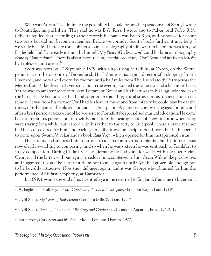Who was Anrias? To eliminate the possibility he could be another pseudonym of Scott, I wrote to Routledge, his publishers. They said he was B.A. Ross. I wrote also to Adyar, and Pedro R.M. Oliveira replied that according to their records his name was Brian Ross, and he stayed for about two years but did not become a member. Before we consider Scott's books further, it may help if we study his life. There are three obvious sources, a biography of him written before he was forty by Eaglesfield Hull<sup>21</sup>, an early memoir by himself, *My Years of Indiscretion*<sup>22</sup>, and his later autobiography *Bone of Contention*23 . There is also a more recent, specialised study, *Cyril Scott and his Piano Music*, by Professor Ian Parrott.<sup>24</sup>

Scott was born on 27 September 1879, with Virgo rising he tells us, at Oxton, on the Wirral peninsula, on the outskirts of Birkenhead. His father was managing director of a shipping firm in Liverpool, and he walked every day the two and a half miles from The Laurels to the ferry across the Mersey from Birkenhead to Liverpool, and in the evening walked the same two and a half miles back. Yet he was an amateur scholar of New Testament Greek and his heart was in his linguistic studies of the Gospels. He had no vices but his absorption in something too abstruse for his son made him seem remote. It was from his mother Cyril had his love of music and from infancy he could play by ear the tunes, mostly hymns, she played and sang at their piano. A piano-teacher was engaged for him, and after a brief period at a day-school he was sent to Frankfurt for specialised musical education. He came back to rejoin his parents, not in their home but in the nearby seaside of New Brighton where they were staying for a while, but walked with his father to the ferry to Liverpool, where a piano teacher had been discovered for him, and back again daily. It was on a trip to Southport that he happened to come upon Swami Vivekananda's book *Raja Yoga*, which opened for him metaphysical vistas.

His parents had supposed him destined to a career as a virtuoso pianist, but his interest was now clearly switching to composing, and so when he was sixteen he was sent back to Frankfurt to study composition. During his first visit to Germany he had gone for walks with the poet Stefan George, till the latter, without trying to seduce him, confessed to him Oscar Wilde-like proclivities and suggested it would be better for them not to meet again until Cyril had grown old enough not to be boyishly attractive. Now they did meet again, and it was George who obtained for him the performance of his first symphony, at Darmstadt.

In 1899, towards the end of his twentieth year, he returned to England, this time to Liverpool,

22 Cyril Scott, *My Years of Indiscretion* (London: Mills & Boon, 1924).

23 Cyril Scott, *Bone of Contention*, *Life Story and Confessions* (London: Aquarian Press, 1969), 19.

24 Ian Parrott, *Cyril Scott and his Piano Music* (London: Thames, 1922).

#### *4 Cyril Scott and a Hidden School Theosophical History: Occasional Papers VII 5*

<sup>21</sup> A. Eaglesfield Hull, *Cyril Scott, Composer, Poet and Philosopher*, (London: Kegan Paul, 1919).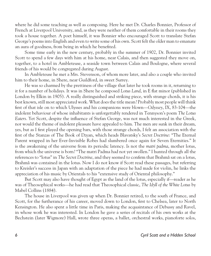where he did some teaching as well as composing. Here he met Dr. Charles Bonnier, Professor of French at Liverpool University, and, as they were neither of them comfortable in their rooms they took a house together. A poet himself, it was Bonnier who encouraged Scott to translate Stefan George's poems into English and even to write some of his own. Scott felt the older man to emanate an aura of goodness, from being in which he benefited.

Some time early in the new century, probably in the summer of 1902, Dr. Bonnier invited Scott to spend a few days with him at his home, near Calais, and then suggested they move on, together, to a hotel in Ambleteuse, a seaside town between Calais and Boulogne, where several friends of his would be congregated during August.

In Ambleteuse he met a Mrs. Stevenson, of whom more later, and also a couple who invited him to their home, in Shere, near Guildford, in sweet Surrey.

He was so charmed by the prettiness of the village that later he took rooms in it, returning to it for a number of holidays. It was in Shere he composed *Lotus Land*, in E flat minor (published in London by Elkin in 1905). A really distinguished and striking piece, with strange chords, it is his best known, still most appreciated work. What does the title mean? Probably most people will think first of that isle on to which Ulysses and his companions were blown—*Odyssey*, IX, 83-104*—*the indolent behaviour of whose inhabitants is unforgettably rendered in Tennyson's poem *The Lotus Eaters*. Yet Scott, despite the influence of Stefan George, was not much interested in the Greek, nor would the theme of indolent pleasure have appealed to him. The men are sunk in their dream, yes, but as I first played the opening bars, with those strange chords, I felt an association with the first of the Stanzas of The Book of Dzyan, which heads Blavatsky's *Secret Doctrine*: "The Eternal Parent wrapped in her Ever-Invisible Robes had slumbered once again for Seven Eternities." It is the awakening of the universe from its periodic latency. Is not the *matri padma*, mother lotus, from which the universe is born? "The matri Padma had not yet swollen." I hunted through all the references to "lotus" in *The Secret Doctrine*, and they seemed to confirm that Brahmâ sat on a lotus, Brahmâ was contained in the lotus. Now I do not know if Scott read these passages, but referring to Kreisler's success in Japan with an adaptation of the piece he had made for violin, he links the appreciation of his music by Orientals to his "extensive study of Oriental philosophy."

But Scott may also have thought of Egypt as the land of the lotus, especially if*—*reader as he was of Theosophical works*—*he had read that Theosophical classic, *The Idyll of the White Lotus* by Mabel Collins (1884).

The house in Liverpool was given up when Dr. Bonnier retired, to the south of France, and Scott, for the furtherance of his career, moved down to London, first to Chelsea, later to North Kensington. He also spent a little time in Paris, making the acquaintance of Debussy and Ravel, in whose work he was interested. In London he gave a series of recitals of his own works at the Bechstein (later Wigmore) Hall, wrote three operas, a ballet, orchestral works, pianoforte solos,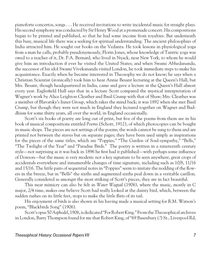pianoforte concertos, songs . . . He received invitations to write incidental music for straight plays. His second symphony was conducted by Sir Henry Wood at a promenade concert. His compositions began to be printed and published, so that he had some income from royalties. But underneath this busy, musical life there was a seeking for spiritual understanding. The ancient philosophies of India attracted him. He sought out books on the Vedanta. He took lessons in physiological yoga from a man he calls, probably pseudonymously, Florin Jones, whose knowledge of Tantric yoga was owed to a teacher of it, Dr. P.A. Bernard, who lived in Nyack, near New York, to whom he would give him an introduction if ever he visited the United States; and when Swami Abhedananda, the successor of his idol Swami Vivekananda visited London, he took immediate steps to make his acquaintance. Exactly when he became interested in Theosophy we do not know; he says when a Christian Scientist (ironically) took him to hear Annie Besant lecturing at the Queen's Hall, but Mrs. Besant, though headquartered in India, came and gave a lecture at the Queen's Hall almost every year. Eaglesfield Hull says that in a lecture Scott compared the mystical interpretation of Wagner's work by Alice Leighton Cleather and Basil Crump with that of Shaw; Mrs. Cleather was a member of Blavatsky's Inner Group, which takes the mind back; it was 1892 when she met Basil Crump, but though they were not much in England they lectured together on Wagner and Buddhism for some thirty years, all over the world, in England occasionally.

Scott's six books of poetry are long out of print, but five of the poems from them are in his book of musical compositions entitled *Poems* (Schott, 1912), of which photocopies can be bought in music shops. The pieces are not settings of the poems; the words cannot be sung to them and are printed not between the staves but on separate pages; they have been used simply as inspirations for the pieces of the same titles, which are "Poppies," "The Garden of Soul-sympathy," "Bells," "The Twilight of the Year" and "Paradise Birds." The poetry is written in a nineteenth century style*—*not surprising as it was back in 1896 he first had it published*—*with perhaps some influence of Dowson*—*but the music is very modern: not a key signature to be seen anywhere, great crops of accidentals everywhere and innumerable changes of time signature, including such as 10/8, 11/16 and 15/16. The little pairs of sequential notes in "Poppies" seem to imitate the nodding of the flowers in the breeze, but in "Bells" the sixths and augmented sixths peal down in a veritable carillon. Generally considered as amongst the most striking of Scott's pieces, they are in fact beautiful.

This near mimicry can also be felt in *Water Wagtail* (1906), where the music, mostly in C major, 2/4 time, makes one believe Scott had really looked at the dainty bird, which, between the sudden rushes on its little feet, stops to make the little flirts of its tail.

His enjoyment of birds is also shown in his having made a musical setting for R.M. Watson's poem, "Blackbirds Song" (1906).

Scott's opus 50 *Asphodel*, 1906, is dedicated "For Robert King." From the Theosophical archives in London, Barry Thompson found for me that Robert King, of "69 Basenbury (?) St., Liverpool Rd,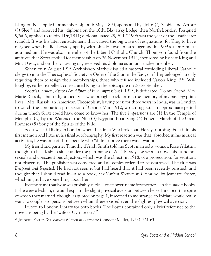Islington N," applied for membership on 6 May, 1893, sponsored by "John (?) Scobie and Arthur (?) Slee," and received his "diploma on the 10th; Blavatsky Lodge, then North London. Resigned 9/6/06, applied to rejoin 11/6/1911; diploma issued 29/9/11." 1906 was the year of the Leadbeater scandal. It was his later reinstatement that caused the big wave of resignations; for King to have resigned when he did shows sympathy with him. He was an astrologer and in 1909 sat for Sinnett as a medium. He was also a member of the Liberal Catholic Church. Thompson found from the archives that Scott applied for membership on 26 November 1914, sponsored by Robert King and Mrs. Davis, and on the following day received his diploma as an unattached member.

When on 6 August 1915 Archbishop Mathew issued a pastoral forbidding Liberal Catholic clergy to join the Theosophical Society or Order of the Star in the East, or if they belonged already requiring them to resign their memberships, those who refused included Canon King. F.S. Willoughby, earlier expelled, consecrated King to the episcopate on 26 September.

Scott's *Carillon, Egypt (An Album of Five Impressions)*, 1913, is dedicated "To my Friend, Mrs. Marie Russak, That enlightened Seer who brought back for me the memory of my past Egyptian lives." Mrs. Russak, an American Theosophist, having been for three years in India, was in London to watch the coronation procession of George V in 1910, which suggests an approximate period during which Scott could have come to know her. The five *Impressions* are (1) In the Temple of Memphis (2) By the Waters of the Nile (3) Egyptian Boat Song (4) Funeral March of the Great Rameses (5) Song of the Spirits of the Nile.

Scott was still living in London when the Great War broke out. He says nothing about it in his first memoir and little in his final autobiography. My first reaction was that, absorbed in his musical activities, he was one of those people who "didn't notice there was a war on."

My friend and partner Timothy d'Arch Smith told me Scott married a woman, Rose Allatini, thought to be a lesbian since under the pen-name of A.T. Fitzroy she wrote a novel about homosexuals and conscientious objectors, which was the object, in 1918, of a prosecution, for sedition, not obscenity. The publisher was convicted and all copies ordered to be destroyed. The title was *Despised and Rejected*. He had not seen it but had heard that it had been recently reissued, and thought that I should read it*—*also a book, *Sex Variant Women in Literature*, by Jeanette Foster, which might have something about her.

It came to me that Rose was probably Viola*—*one flower-name for another*—*in the *Initiate* books. If she were a lesbian, it would explain the slight physical aversion between herself and Scott, in spite of which they married, though, as quoted on page 1, it seemed to me strange an Initiate would really want to couple two persons between whom there existed even the slightest physical aversion.

I wrote to London Library for both books. The Foster contained only a brief reference to the novel, as being by the "wife of Cyril Scott."25

<sup>&</sup>lt;sup>25</sup> Jeanette Foster, *Sex Variant Women in Literature* (London: Muller, 1953), 261-63.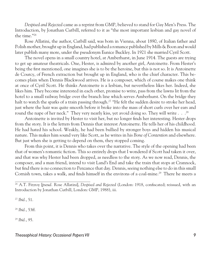*Despised and Rejected* came as a reprint from GMP, believed to stand for Gay Men's Press. The Introduction, by Jonathan Cutbill, referred to it as "the most important lesbian and gay novel of the time."26

Rose Allatini, the author, Cutbill said, was born in Vienna, about 1890, of Italian father and Polish mother, brought up in England, had published a romance published by Mills & Boon and would later publish many more, under the pseudonym Eunice Buckley. In 1921 she married Cyril Scott.

The novel opens in a small country hotel, at Amberhurst, in June 1914. The guests are trying to get up amateur theatricals. One, Hester, is admired by another girl, Antoinette. From Hester's being the first mentioned, one imagines she is to be the heroine, but this is not so. It is Antoinette de Courcy, of French extraction but brought up in England, who is the chief character. This becomes plain when Dennis Blackwood arrives. He is a composer, which of course makes one think at once of Cyril Scott. He thinks Antoinette is a lesbian, but nevertheless likes her. Indeed, she likes him. They become interested in each other, promise to write, pass from the lawns lit from the hotel to a small railway bridge over the branch line which serves Amberhurst. On the bridge they halt to watch the sparks of a train passing through.<sup>27</sup> "He felt the sudden desire to stroke her head, just where the hair was quite smooth before it broke into the mass of short curls over her ears and round the nape of her neck." They very nearly kiss, yet avoid doing so. They will write . . .<sup>28</sup>

Antoinette is invited by Hester to visit her, but no longer finds her interesting. Hester drops from the story. It is the letters from Dennis that interest Antoinette. He tells her of his childhood. He had hated his school. Weakly, he had been bullied by stronger boys and hidden his musical nature. This makes him sound very like Scott, as he writes in his *Bone of Contention* and elsewhere. But just when she is getting to depend on them, they stopped coming.

From this point, it is Dennis who takes over the narrative. The style of the opening had been that of women's romantic fiction. This so entirely drops that I wondered if Scott had taken it over, and that was why Hester had been dropped, as needless to the story. As we now read, Dennis, the composer, and a man friend, intend to visit Land's End and take the train that stops at Crannock, but find there is no connection to Penzance that day. Dennis, seeing nothing else to do in this small Cornish town, takes a walk, and finds himself in the environs of a coal-mine.<sup>29</sup> There he meets a

<sup>27</sup> *Ibid.*, 51.

<sup>28</sup> *Ibid.*, 53ff.

<sup>29</sup> *Ibid.*, 95.

<sup>26</sup> A.T. Fitzroy [*pseud.* Rose Allatini], *Despised and Rejected* (London: 1918, confiscated; reissued, with an Introduction by Jonathan Cutbill, London: GMP, 1988), iii.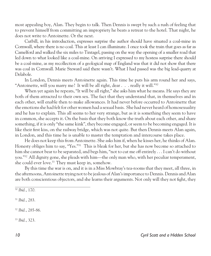most appealing boy, Alan. They begin to talk. Then Dennis is swept by such a rush of feeling that to prevent himself from committing an impropriety he beats a retreat to the hotel. That night, he does not write to Antoinette. Or the next.

Cutbill, in his introduction, expresses surprise the author should have situated a coal-mine in Cornwall, where there is no coal. This at least I can illuminate. I once took the train that goes as far as Camelford and walked the six miles to Tintagel, passing on the way the opening of a smaller road that led down to what looked like a coal-mine. On arriving I expressed to my hostess surprise there should be a coal-mine, as my recollection of a geological map of England was that it did not show that there was coal in Cornwall. Marie Steward said there wasn't. What I had passed was the big lead-quarry at Delabole.

In London, Dennis meets Antoinette again. This time he puts his arm round her and says, "Antoinette, will you marry me? It will be all right, dear . . . really it will."30

When yet again he repeats, "It will be all right," she asks him what he means. He says they are both of them attracted to their own sex. The fact that they understand that, in themselves and in each other, will enable then to make allowances. It had never before occurred to Antoinette that the emotions she had felt for other women had a sexual basis. She had never heard of homosexuality and he has to explain. This all seems to her very strange, but as it is something they seem to have in common, she accepts it. On the basis that they both know the truth about each other, and share something, if it is only "the same kink", they become engaged, or seem to be becoming engaged. It is like their first kiss, on the railway bridge, which was not quite. But then Dennis meets Alan again, in London, and this time he is unable to master the temptation and intercourse takes place.

He does not keep this from Antoinette. She asks him if, when he kisses her, he thinks of Alan. Honesty obliges him to say, "Yes."31 This is bleak for her, but she has now become so attached to him she cannot bear to be separated, and begs him, "not to cut me off entirely . . . I can't do without you."32 All dignity gone, she pleads with him*—*the only man who, with her peculiar temperament, she could ever love.<sup>33</sup> They must keep in, somehow.

By this time the war is on, and it is in a Miss Mowbray's tea-rooms that they meet, all three, in the afternoons, Antoinette trying not to be jealous of Alan's importance to Dennis. Dennis and Alan are both conscientious objectors, and she learns their arguments. Not only will they not fight, they

<sup>31</sup> *Ibid.*, 283.

<sup>32</sup> *Ibid.*, 285-86.

<sup>33</sup> *Ibid.*, 323.

<sup>30</sup> *Ibid.*, 170.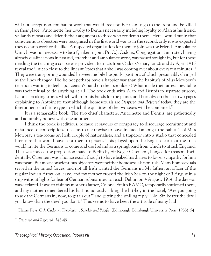will not accept non-combatant work that would free another man to go to the front and be killed in their place. Antoinette, her loyalty to Dennis necessarily including loyalty to Alan as his friend, valiantly repeats and defends their arguments to those who condemn them. Here I would put in that conscientious objectors were recognised in the first world war as in the second, only it was expected they do farm work or the like. A respected organisation for them to join was the Friends Ambulance Unit. It was not necessary to be a Quaker to join. Dr. C.J. Cadoux, Congregational minister, having already qualifications in first aid, stretcher and ambulance work, was passed straight in, but for those needing the teaching a course was provided. Extracts from Cadoux's diary for 26 and 27 April 1915 reveal the Unit so close to the lines at Ypres that a shell was coming over about every ten minutes.<sup>34</sup> They were transporting wounded between mobile hospitals, positions of which presumably changed as the lines changed. Did he not perhaps have a happier war than the habitués of Miss Mowbray's tea-room waiting to feel a policeman's hand on their shoulders? What made their arrest inevitable was their refusal to do anything at all. The book ends with Alan and Dennis in separate prisons, Dennis breaking stones which will ruin his hands for the piano, and Barnaby on the last two pages explaining to Antoinette that although homosexuals are *Despised and Rejected* today, they are the forerunners of a future type in which the qualities of the two sexes will be combined.35

It is a remarkable book. The two chief characters, Antoinette and Dennis, are pathetically and admirably honest with one another.

I think the book is seditious, because it savours of conspiracy to discourage recruitment and resistance to conscription. It seems to me unwise to have included amongst the habitués of Miss Mowbray's tea-rooms an Irish couple of nationalists, and a trapdoor into a studio that concealed literature that would have sent them to prison. This played upon the English fear that the Irish would invite the Germans to come and use Ireland as a springboard from which to attack England. That was indeed the proposition made to Berlin by Sir Roger Casement, hanged for treason. Incidentally, Casement was a homosexual, though to have leaked his diaries to lower sympathy for him was mean. But most conscientious objectors were neither homosexuals nor Irish. Many homosexuals served in the armed forces, and not all Irish wanted the Germans in. My father, an officer of the regular Indian Army, on leave, and my mother crossed the Irish Sea on the night of 3 August in a ship without lights for fear of German submarines, to reach Dublin on 4 August, 1914, the day war was declared. It was to visit my mother's father, Colonel Smith RAMC, temporarily stationed there, and my mother remembered his half-humorously asking the lift-boy in the hotel, "Are you going to ask the Germans in, now, to get us out?" and getting the smiling reply. "No, Sir. Better the devil you know than the devil you don't." This seems to have been the attitude of many Irish.

34 Elaine Keys, *C.J. Cadoux, Theologian, Scholar and Pacifist* (Edinburgh: Edinburgh University Press, 1988), 54.

<sup>35</sup> *Despised and Rejected*, 348-49.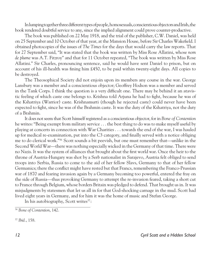In lumping together three different types of people, homosexuals, conscientious objectors and Irish, the book rendered doubtful service to any, since the implied alignment could prove counter-productive.

The book was published on 22 May 1918, and the trial of the publisher, C.W. Daniel, was held on 25 September and 10 October of that year, at the Mansion House, before Sir Charles Wakefield. I obtained photocopies of the issues of *The Times* for the days that would carry the law reports. That for 27 September said, "It was stated that the book was written by Miss Rose Allatini, whose *nom de plume* was A.T. Fitzroy" and that for 11 October repeated, "The book was written by Miss Rose Allatini." Sir Charles, pronouncing sentence, said he would have sent Daniel to prison, but on account of his ill-health was fining him £450, to be paid within twenty-eight days. All copies to be destroyed.

The Theosophical Society did not enjoin upon its members any course in the war. George Lansbury was a member and a conscientious objector; Geoffrey Hodson was a member and served in the Tank Corps. I think the question is a very difficult one. There may be behind it an atavistic feeling of which caste one belongs to. Krishna told Arjuna he had to fight, because he was of the Kshatriya (Warrior) caste. Krishnamurti (though he rejected caste) could never have been expected to fight, since he was of the Brahmin caste. It was the duty of the Kshatriya, not the duty of a Brahmin.

It does not seem that Scott himself registered as a conscientious objector, for in *Bone of Contention* he writes: "Being exempt from military service . . . the best thing to do was to make myself useful by playing at concerts in connection with War Charities . . . towards the end of the war, I was hauled up for medical re-examination, put into the C3 category, and finally served with a notice obliging me to do clerical work."36 Scott sounds a bit peevish, but one must remember that*—*unlike in the Second World War*—*there was nothing especially wicked in the Germany of that time. There were no Nazis. It was the system of alliances that brought about the first world war. Once the heir to the throne of Austria-Hungary was shot by a Serb nationalist in Sarajevo, Austria felt obliged to send troops into Serbia, Russia to come to the aid of her fellow Slavs, Germany to that of her fellow Germanics; there the conflict might have rested but that Francs, remembering the Franco-Prussian war of 1870 and fearing invasion again by a Germany becoming too powerful, entered the fray on the side of Russia*—*thus provoking Germany to attempt the re-invasion feared, taking a short cut to France through Belgium, whose borders Britain was pledged to defend. That brought us in. It was misjudgments by statesmen that let us all in for that God-shocking carnage in the mud. Scott had lived eight years in Germany, and for him it was the home of music and Stefan George.

In his autobiography, Scott writes $37$ :

<sup>37</sup> *Ibid.*, 158.

<sup>36</sup> *Bone of Contention*, 142.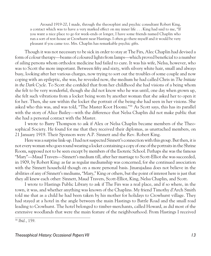Around 1919-20, I made, through the theosophist and psychic consultant Robert King, a contact which was to have a very marked effect on my inner life . . . King had said to me, "If you want a nice place to go for week-ends or longer, I have some friends named Chaplin who run a sort of rest-house at Crowhurst near Hastings. I often go there myself and it would be very pleasant if you came too. Mrs. Chaplin has remarkable psychic gifts.

Though it was not necessary to be sick in order to stay at The Firs, Alec Chaplin had devised a form of colour therapy*—*beams of coloured lights from lamps*—*which proved beneficial to a number of ailing persons whom orthodox medicine had failed to cure. It was his wife, Nelsa, however, who was to Scott the more important. Between fifty and sixty, with silvery white hair, small and always busy, looking after her various charges, now trying to sort out the troubles of some couple and now coping with an epileptic, she was, he revealed now, the medium he had called Chris in *The Initiate in the Dark Cycle*. To Scott she confided that from her childhood she had visions of a being whom she felt to be very wonderful, though she did not know who he was until, one day when grown up, she felt such vibrations from a locket being worn by another woman that she asked her to open it for her. Then, she saw within the locket the portrait of the being she had seen in her visions. She asked who this was, and was told, "The Master Koot Hoomi."38 As Scott says, this has its parallel with the story of Alice Bailey*—*with the difference that Nelsa Chaplin did not make public that she had a personal contact with the Master.

I wrote to Barry Thompson to ask if Alex or Nelsa Chaplin became members of the Theosophical Society. He found for me that they received their diplomas, as unattached members, on 21 January 1919. Their Sponsors were A.P. Sinnett and the Rev. Robert King.

Here was a surprise link-up. I had not suspected Sinnett's connection with this group. But then, it is not every woman who goes round wearing a locket containing a copy of one of the portraits in the Shrine Room, supposed not to be seen except by members of the Esoteric School. Perhaps she was the famous "Mary"*—*Maud Travers*—*Sinnett's medium till, after her marriage to Scott-Elliot she was succeeded, in 1909, by Robert King: as far as regular mediumship was concerned, for she continued association with the Sinnett household though on a more personal basis. Jinarajadasa does not believe in the abilities of any of Sinnett's mediums, "Mary," King or others, but the point of interest here is just that they all knew each other: Sinnett, Maud Travers, Scott-Elliot, King, Nelsa Chaplin, and Scott.

I wrote to Hastings Public Library to ask if The Firs was a real place, and if so where, in the town, it was, and whether anything was known of the Chaplins. My friend Timothy d'Arch Smith told me that as a child he had been taken by his mother for holidays to Crowhurst village. They had stayed at a hotel in the angle between the main Hastings to Battle Road and the small road leading to Crowhurst. The hotel belonged to timber-merchants, called Howard, as did most of the extensive woodlands that were the main feature of the neighbourhood. From Hastings I received

<sup>38</sup> *Ibid.*, 159.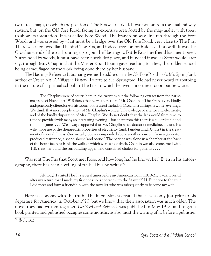two street-maps, on which the position of The Firs was marked. It was not far from the small railway station, but, on the Old Fore Road, facing an extensive area dotted by the map-maker with trees, to show its forestation. It was called Fore Wood. The branch railway line ran through the Fore Wood, and was crossed by what must be a bridge over the Old Fore Road, very close to The Firs. There was more woodland behind The Firs, and indeed trees on both sides of it as well. It was the Crowhurst end of the road running up to join the Hastings to Battle Road my friend had mentioned. Surrounded by woods, it must have been a secluded place, and if indeed it was, as Scott would later say, through Mrs. Chaplin that the Master Koot Hoomi gave teaching to a few, the hidden school being camouflaged by the work being done there by her husband.

The Hastings Reference Librarian gave me the address*—*in the Old Fore Road*—*of a Mr. Springford, author of *Crowhurst, A Village in History*. I wrote to Mr. Springford. He had never heard of anything in the nature of a spiritual school in The Firs, to which he lived almost next door, but he wrote:

The Chaplins were of course here in the twenties but the following extract from the parish magazine of November 1918 shows that he was here then: "Mr. Chaplin of The Firs has very kindly and generously offered one of his rooms for the use of the lads of Crowhurst during the winter evenings. We think that most people know of Mr. Chaplin's wonderful knowledge of science and electricity, and of the kindly disposition of Mrs. Chaplin. We do not doubt that the lads would from time to time be provided with many an interesting evening*—*but apart from this there is a billiard table and room for games . . ." We always supposed that Mr. Chaplin was a doctor of medicine. He and his wife made use of the therapeutic properties of electricity (and, I understand, X-rays) in the treatment of mental illness. One metal globe was suspended above another, current from a generator produced resistance, a spark, shock "and ozone." The patient was alone in a chamber at the back of the house facing a bank the walls of which were a foot thick. Chaplin was also concerned with T.B. treatment and the surrounding upper field contained chalets for patients . . . .

Was it at The Firs that Scott met Rose, and how long had he known her? Even in his autobiography, there has been a veiling of trails. Thus he writes $39$ :

Although I visited The Firs several times before my American tour in 1920-21, it was not until after my return that I made my first conscious contact with the Master K.H. But prior to the tour I did meet and form a friendship with the novelist who was subsequently to become my wife.

Here is economy with the truth. The impression is created that it was only just prior to his departure for America, in October 1920, but we know that their association was much older. The novel they had written together, *Despised and Rejected*, was published in May 1918, and to get a book printed and published occupies some months, as also must the writing of it, before a publisher

<sup>39</sup> *Ibid.*, 162.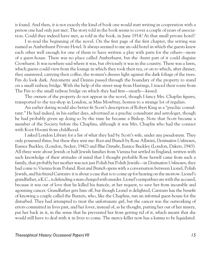is found. And then, it is not exactly the kind of book one would start writing in cooperation with a person one had only just met. The story told in the book seems to cover a couple of years of association. Could they indeed have met, as told in the book, in June 1914? At that small private hotel?

I re-read the beginning of the novel. On the first page of the first chapter, the setting was named as Amberhurst Private Hotel. It always seemed to me an odd hotel in which the guests knew each other well enough for one of them to have written a play with parts for the others*—*more of a guest-house. There was no place called Amberhurst, but the -hurst part of it could disguise Crowhurst. It was nowhere said where it was, but obviously it was in the country. There was a lawn, which guests could view from the lounge in which they took their tea, or on to which, after dinner, they sauntered, carrying their coffee, the women's dresses light against the dark foliage of the trees. Firs do look dark. Antoinette and Dennis passed through the boundary of the property to stand on a small railway bridge. With the help of the street-map from Hastings, I traced their route from The Firs to the small railway bridge on which they had first*—*nearly*—*kissed.

The owners of the property do not appear in the novel, though I fancy Mrs. Chaplin figures, transported to the tea-shop in London, as Miss Mowbray, hostess to a strange lot of regulars.

An earlier dating would also better fit Scott's description of Robert King as a "psychic consultant." He had indeed, in his earlier days, advertised as a psychic consultant and astrologer, though he had probably given up doing so by the time he became a Bishop. Note that Scott became a member of the Society before the Chaplins, although it was Mrs. Chaplin who had the contact with Koot Hoomi from childhood.

I asked London Library for a list of what they had by Scott's wife, under any pseudonym. They only possessed three, but these they sent me: *Root and Branch* by Rose Allatini, *Destination Unknown*, Eunice Buckley, (London, Secker, 1942) and *Blue Danube*, Eunice Buckley (London, Dakers, 1943). All three were about Jewish or half Jewish families from Vienna but settled in England, written with such knowledge of their attitudes of mind that I thought probable Rose herself came from such a family, that probably her mother was not just Polish but Polish Jewish*—*in *Destination Unknown*, they had come to Vienna from Poland. *Root and Branch* opens with a conversation between Lionel, Polish Jewish, and his friend Carstairs: it is about a case that is to come up for hearing on the morrow. Lionel's grandfather, a K.C., is defending a man charged with murder. Lionel's sympathies are with the accused, because it was out of love that he killed his fiancée, at her request, to save her from incurable and agonising cancer. Grandfather gets him off, but though Lionel is delighted, Carstairs has the benefit of knowing a couple called the Baxters, who, like the Chaplins, run an informal guest-house for the disturbed. They had attempted to treat the unfortunate girl, but the cancer was the outworking of errors committed in lives past, and her lover, instead of, as he thought, putting her out of her misery, put her back in it, in the sense that he prevented her from getting rid of it, which meant that she would still have to deal with it in lives to come. The mercy-killer now has a karma to be liquidated.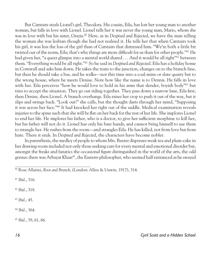But Carstairs steals Lionel's girl, Theodora. His cousin, Eila, has lost her young man to another woman, but falls in love with Lionel. Lionel tells her it was never the young man, Mario, whom she was in love with but his sister, Grazia.40 Here, as in *Despised and Rejected*, we have the man telling the woman she was lesbian though she had not realised it. He tells her that when Carstairs took his girl, it was less the loss of the girl than of Carstairs that distressed him. "We're both a little bit twisted out of the norm, Eila; that's why things are more difficult for us than for other people."<sup>41</sup> He had given her, "a queer glimpse into a mental world shared . . . And it would be all right"<sup>41</sup> between them. "Everything would be all right."42 So he said in *Despised and Rejected*. Eila has a holiday home in Cornwall and asks him down. He takes the train to the junction, changes on to the branch line, but then he should take a bus, and he walks*—*not this time into a coal-mine or slate quarry but to the wrong house, where he meets Denise. Note how like the name is to Dennis. He falls in love with her. Eila perceives "how he would love to hold in his arms that slender, boyish body"<sup>43</sup> but tries to accept the situation. They go out riding together. They pass down a narrow lane, Eila first, then Denise, then Lionel. A branch overhangs. Eila raises her crop to push it out of the way, but it slips and swings back. "Look out!" she calls, but the thought darts through her mind, "Supposing it was across her face."44 It had knocked her right out of the saddle. Medical examination reveals injuries to the spine such that she will be flat on her back for the rest of her life. She implores Lionel to end her life. He implores his father, who is a doctor, to give her sufficient morphine to kill her, but his father will not do it. Lionel has only his bare hands, and cannot bring himself to use them to strangle her. He rushes from the room*—*and strangles Eila. He has killed, not from love but from hate. There it ends. In *Despised and Rejected*, the characters have become nobler.

In parenthesis, the medley of people to whom Mrs. Baxter dispenses weak tea and plum-cake in her drawing-room included not only those seeking cure for every mental and emotional disorder but, amongst the freaks and fanatics the occasional figure distinguished in the world of the arts, the odd genius: there was Arbayat Khan<sup>45</sup>, the Eastern-philosopher, who seemed half entranced as he swayed

<sup>41</sup> *Ibid.*, 316.

<sup>42</sup> *Ibid.*, 318.

<sup>43</sup> *Ibid.*, 45.

<sup>44</sup> *Ibid.*, 364.

<sup>45</sup> *Ibid.*, 59, 61, 66.

<sup>40</sup> Rose Allatini, *Root and Branch*, (London: Allen & Unwin, 1917), 314.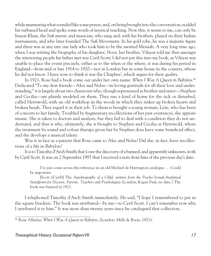while murmuring what sounded like some prayer, and, on being brought into the conversation, nodded his turbaned head and spoke some words of mystical teaching. Now this, it seems to me, can only be Inayat Khan, the Sufi mystic and musician, who sang and, with his brothers, played on their Indian instruments, and who later founded The Sufi Movement. In his gold robe, he was a majestic figure and there was at any rate one lady who took him to be the awaited Messiah. A very long time ago, when I was writing the biography of his daughter, Noor, her brother, Vilayat told me that amongst the interesting people his father met was Cyril Scott; I did not put this into my book, as Vilayat was unable to place the event precisely, either as to the when or the where, it was during his period in England*—*from mid or late 1914 to 1920*—*not in London but in some house in the country, whose he did not know. I have now to think it was the Chaplins', which argues for their quality.

In 1921, Rose had a book come out under her own name: *When I Was A Queen in Babylon*. 46 Dedicated "To my dear friends*—*Alex and Nelsa*—*in loving gratitude for all their love and understanding," it is largely about two characters who, though represented as brother and sister*—*Stephen and Cecilia—are plainly modeled on them. They run a kind of home for the sick or disturbed, called Hertswold, with an old workshop in the woods in which they tinker up broken hearts and broken heads. They regard it as their job. To them is brought a young woman, Lizie, who has been of concern to her family. Troubled by fragmentary recollections of her past existences, she appears insane. She is taken to doctors and analysts, but they fail to deal with a condition they do not understand, and that is why, ultimately, she is brought to Stephen and Cecilia at Hertswold, where the treatment by sound and colour therapy given her by Stephen does have some beneficial effect, and she develops a musical talent.

Was it in fact as a patient that Rose came to Alec and Nelsa? Did she, in fact, have recollections of a life in Babylon?

It is to Timothy d'Arch Smith that I owe the discovery of a banned, and apparently unknown, work by Cyril Scott. It was on 2 September 1997 that I received a note from him of the previous day's date:

I've just come across this reference in an old Michael de Hartington catalogue . . . Could be important.

[Scott (Cyril)] The *Autobiography of a Child, written from the Psycho-Sexual-Analytical Standpoint for Doctors, Parents, Teachers and Psychologists* (London, Kegan Paul, no date.) The book was banned in 1921.

I telephoned Timothy d'Arch Smith immediately. He said, "I hope I remembered to put in the square brackets. The book was attributed*—*by me*—*to Cyril Scott. I can't remember now why I attributed it to him." It was more than twenty years since he catalogued that collection.

<sup>46</sup> Rose Allatini, *When I Was A Queen in Babylon*, (London: Mills & Boon, 1921).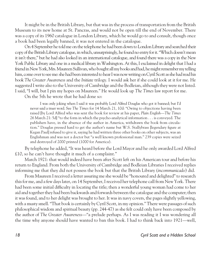It might be in the British Library, but that was in the process of transportation from the British Museum to its new home at St. Pancras, and would not be open till the end of November. There was a copy of its 1960 catalogue in London Library, which he would go to and consult, though once a book had been legally banned, it was not entered in the catalogue.

On 4 September he told me on the telephone he had been down to London Library and searched their copy of the British Library catalogue, in which, unsurprisingly, he found no entry for it. "Which doesn't mean it isn't there," but he had also looked in an international catalogue, and found there was a copy in the New York Public Library and one in a medical library in Washington. At this, I exclaimed in delight that I had a friend in New York, Mrs. Maureen Sullivan, who bought all my books and had, he might remember my telling him, come over to see me: she had been interested to hear I was now writing on Cyril Scott as she had read his book *The Greater Awareness* and the *Initiate* trilogy. I would ask her if she could look at it for me. He suggested I write also to the University of Cambridge and the Bodleian, although they were not listed. I said, "I will, but I pin my hopes on Maureen." He would look up *The Times* law report for me.

On the 5th he wrote that he had done so:

I was only joking when I said it was probably Lord Alfred Douglas who got it banned; but I'd never said a truer word. See *The Times* for 14 March 21, 10d: "Owing to objections having been raised [by Lord Alfred who was sent the book for review at his paper, *Plain English—The Times* 26 March 21: 5d] "to the form in which the psycho-analytical information . . . is conveyed. The publishers have, in the absence of the author in America, withdrawn the book from circulation." Douglas pressed hard to get the author's name but W.S. Stallybrass [legendary figure at Kegan Paul] refused to give it, saying he had written three other books on other subjects, was an Englishman and was not a doctor but "a well known professional man." 239 copies were seized and destroyed of 2000 printed (1000 for America).

By telephone he added, "It was heard before the Lord Mayor and he only awarded Lord Alfred £10, so he can't have thought it much of a complaint."

March 1921: that would indeed have been after Scott left on his American tour and before his return to England. From both the University of Cambridge and Bodleian Libraries I received replies informing me that they did not possess the book but that the British Library (*incommunicado*) did.

From Maureen I received a letter assuring me she would be "honoured and delighted" to research this for me, and a few days later, on 14 September, I received her telephone call from New York. There had been some initial difficulty in locating the title; then a wonderful young woman had come to her aid and together they had been backwards and forwards between the catalogue and the computer; then it was found, and to her delight was brought to her. It was in navy covers, the pages slightly yellowing, with a musty smell. "That book is certainly by Cyril Scott, in my opinion." There were passages of such philosophical wisdom and spiritual beauty (pp. 244-47) as she felt could only have been composed by the author of *The Greater Awareness—*"a prelude perhaps. As I was reading it I was wondering all the time why anyone should have wanted to ban this book. I had to think back into 1921*—*well,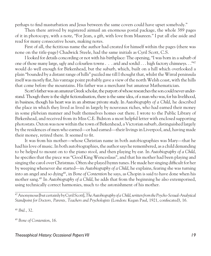perhaps to find masturbation and Jesus between the same covers could have upset somebody."

Then there arrived by registered airmail an enormous postal package, the whole 389 pages of it in photocopy, with a note, "For Jean, a gift, with love from Maureen." I put all else aside and read for many consecutive hours, making notes.

First of all, the fictitious name the author had created for himself within the pages (there was none on the title-page) Chadwick Steele, had the same initials as Cyril Scott, C.S.

I looked for details concording or not with his birthplace: The opening, "I was born in a suburb of one of those many large, ugly and colourless towns . . . arid and sordid . . . high factory chimneys. . ."47 would do well enough for Birkenhead, but the suburb, which, built on a hill which overlooked a plain "bounded by a distant range of hills" puzzled me till I thought that, whilst the Wirral peninsula itself was mostly flat, his vantage point probably gave a view of the north Welsh coast, with the hills that come before the mountains. His father was a merchant but amateur Mathematician.

Scott's father was an amateur Greek scholar, the purport of whose researches the son could never understand. Though there is the slight fictionalisation, there is the same idea, of a man who was, for his livelihood, in business, though his heart was in an abstruse private study. In *Autobiography of a Child*, he described the place in which they lived as lived in largely by nouveaux riches, who had earned their money in some plebeian manner and built themselves homes out there. I wrote to the Public Library of Birkenhead, and received from its Miss C.E. Bidston a most helpful letter with enclosed supporting photostats. Oxton was now within the town of Birkenhead, a Victorian suburb, distinguished largely by the residences of men who earned*—*or had earned*—*their livings in Liverpool, and, having made their money, retired there. It seemed to fit.

It was from his mother*—*whose Christian name in both autobiographies was Mary*—*that he had his love of music. In both autobiographies, the author says he remembered, as a child demanding to be helped to mount on to the piano stool, and then playing by ear. In *Autobiography of a Child*, he specifies that the piece was "Good King Wenceslaus", and that his mother had been playing and singing the carol over Christmas. Often she played hymn tunes. He made her singing difficult for her by weeping whenever she started*—*in *Autobiography of a Child*, he explains, fearing she was turning into an angel and so dying48 , in *Bone of Contention* he says, as Chopin is said to have done when his mother sang.49 In *Autobiography of a Child*, he adds that from the beginning he also extemporised, using technically correct harmonies, much to the astonishment of his mother.

<sup>48</sup> *Ibid.*, 32.

<sup>49</sup> *Bone of Contention*, 16.

#### Theosophical History: Occasional Papers VII and the control of the control of the control of the control of the

<sup>47</sup> Anonymous [but certainly by Cyril Scott], *TheAutobiography of a Child*, *written from the Psycho-Sexual-Analytical Standpoint for Doctors, Parents, Teachers and Psychologists* (London: Kegan Paul, 1921, confiscated), 16.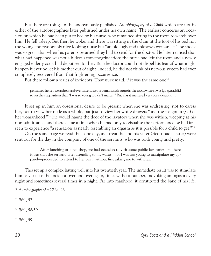But there are things in the anonymously published *Autobiography of a Child* which are not in either of the autobiographies later published under his own name. The earliest concerns an occasion on which he had been put to bed by his nurse, who remained sitting in the room to watch over him. He fell asleep. But then he woke, and there was sitting in the chair at the foot of his bed not the young and reasonably nice looking nurse but "an old, ugly and unknown woman."50 The shock was so great that when his parents returned they had to send for the doctor. He later realised that what had happened was not a hideous transmogrification; the nurse had left the room and a newly engaged elderly cook had deputised for her. But the doctor could not dispel his fear of what might happen if ever he let his mother out of sight. Indeed, he did not think his nervous system had ever completely recovered from that frightening occurrence.

But there follow a series of incidents. That nursemaid, if it was the same one<sup>51</sup>:

permitted herself to undress and even attend to the demands of nature in the room where I was lying, and did so on the supposition that "I was so young it didn't matter." But alas it mattered very considerably. . ..

It set up in him an obsessional desire to be present when she was undressing, not to caress her, not to view her nude as a whole, but just to view her white drawers "and the insignum (*sic*) of her womanhood."52 He would haunt the door of the lavatory when she was within, weeping at his non-admittance, and there came a time when he had only to visualise the performance he had first seen to experience "a sensation as nearly resembling an orgasm as it is possible for a child to get."<sup>53</sup>

On the same page we read that one day, as a treat, he and his sister (Scott had a sister) were sent out for the day in the company of one of the servants, who was both young and pretty:

After lunching at a tea-shop, we had occasion to visit some public lavatories, and here it was that the servant, after attending to my wants*—*for I was too young to manipulate my apparel*—*proceeded to attend to her own, without first asking me to withdraw.

This set up a complex lasting well into his twentieth year. The immediate result was to stimulate him to visualise the incident over and over again, times without number, provoking an orgasm every night and sometimes several times in a night. Far into manhood, it constituted the bane of his life.

<sup>51</sup> *Ibid.*, 57.

<sup>52</sup> *Ibid.*, 58-59.

<sup>53</sup> *Ibid.*, 59.

<sup>50</sup> *Autobiography of a Child*, 26.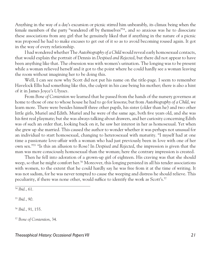Anything in the way of a day's excursion or picnic stirred him unbearably, its climax being when the female members of the party "wandered off by themselves"54 , and so anxious was he to dissociate these associations from any girl that he genuinely liked that if anything in the nature of a picnic was proposed he had to make excuses to get out of it so as to avoid becoming roused again. It got in the way of every relationship.

I had wondered whether The *Autobiography of a Child* would reveal early homosexual contacts, that would explain the portrait of Dennis in *Despised and Rejected*, but there did not appear to have been anything like that. The obsession was with women's urination. The longing was to be present while a woman relieved herself and it got to the point where he could hardly see a woman leaving the room without imagining her to be doing this.

Well, I can see now why Scott did not put his name on the title-page. I seem to remember Havelock Ellis had something like this, the culprit in his case being his mother; there is also a hint of it in James Joyce's *Ulysses.* 

From *Bone of Contention* we learned that he passed from the hands of the nursery governess at home to those of one to whose house he had to go for lessons; but from *Autobiography of a Child*, we learn more. There were besides himself three other pupils, his sister (older than he) and two other little girls, Muriel and Edith. Muriel and he were of the same age, both five years old, and she was his first real playmate; but she was always talking about drawers, and her curiosity concerning Edith was of such an order that, looking back on it, he saw her interest in her as homosexual. Yet when she grew up she married. This caused the author to wonder whether it was perhaps not unusual for an individual to start homosexual, changing to heterosexual with maturity. "I myself had at one time a passionate love-affair with a woman who had just previously been in love with one of her own sex."55 "Is this an allusion to Rose? In *Despised and Rejected*, the impression is given that the man was more consciously homosexual than the woman; here the contrary impression is created.

Then he fell into adoration of a grown-up girl of eighteen. His craving was that she should weep, so that he might comfort her.<sup>56</sup> Moreover, this longing persisted in all his tender associations with women, to the extent that he could hardly say he was free from it at the time of writing. It was not sadism, for he was never tempted to cause the weeping and distress he should relieve. This peculiarity, if there was none other, would suffice to identify the work as Scott's.<sup>57</sup>

<sup>55</sup> *Ibid.*, 90.

<sup>56</sup> *Ibid.*, 91, 155.

<sup>57</sup> *Bone of Contention*, 34.

<sup>54</sup> *Ibid.*, 61.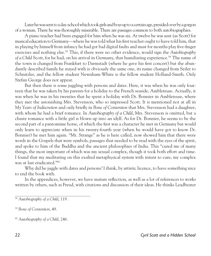Later he was sent to a day-school which took girls and boys up to a certain age, presided over by a gorgon of a woman. There he was thoroughly miserable. There are passages common to both autobiographies.

A piano teacher had been engaged for him when he was six. At twelve he was sent (as Scott) for musical education to Germany*—*where he was told what his first teacher ought to have told him, that in playing by himself from infancy he had got bad digital faults and must for months play five-finger exercises and nothing else.58 This, if there were no other evidence, would sign the *Autobiography of a Child* Scott, for he had, on his arrival in Germany, that humiliating experience.<sup>59</sup> The name of the town is changed from Frankfurt to Darmstadt (where he gave his first concert) but the abundantly described family he stayed with is obviously the same one, its name changed from Seiler to Schnitzler, and the fellow student Newnham-White is the fellow student Holland-Smith. Only Stefan George does not appear.

But then there is some juggling with persons and dates. Here, it was when he was only fourteen that he was taken by his parents for a holiday to the French seaside, Ambleteuse. Actually, it was when he was in his twenties that he spent a holiday with Dr. Bonnier in Ambleteuse, where they met the astonishing Mrs. Stevenson, who so impressed Scott. It is mentioned not at all in *My Years of Indiscretion* and only briefly in *Bone of Contention* that Mrs. Stevenson had a daughter, with whom he had a brief romance. In *Autobiography of a Child*, Mrs. Stevenson is omitted, but a chaste romance with a little girl is blown up into an idyll. As for Dr. Bonnier, he seems to be the second part of a pantomime horse, of which the first was a character he met in Germany but would only learn to appreciate when in his twenty-fourth year (when he would have got to know Dr. Bonnier) he met him again. "Mr. Strange" as he is here called, now showed him that there were words in the Gospels that were symbols, passages that needed to be read with the eyes of the spirit, and spoke to him of the Buddha and the ancient philosophies of India. This "cured me of many things, the most important of which was my sexual complex, though it took both effort and time. I found that my meditating on this exalted metaphysical system with intent to cure, my complex was at last eradicated."60

Why did he juggle with dates and persons? I think, by artistic licence, to have something nice to end the book with.

In the appendices, however, we have mature reflection, as well as a lot of references to works written by others, such as Freud, with citations and discussion of their ideas. He thinks Leadbeater

<sup>58</sup> *Autobiography of a Child*, 119 .

<sup>59</sup> *Bone of Contention*, 49.

<sup>60</sup> *Autobiography of a Child*, 246.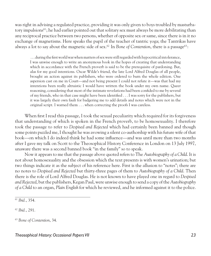was right in advising a regulated practice, providing it was only given to boys troubled by masturbatory impulsions<sup>61</sup>; he had earlier pointed out that solitary sex must always be more debilitating than any reciprocal practice between two persons, whether of opposite sex or same, since there is in it no exchange of magnetisms. Here speaks the pupil of the teacher of tantric yoga; the Tantrikas have always a lot to say about the magnetic side of sex.<sup>62</sup> In *Bone of Contention*, there is a passage<sup>63</sup>:

 . . . during the first world war when matters of sex were still regarded with hypocritical intolerance, I was unwise enough to write an anonymous book in the hopes of creating that understanding which in accordance with the French proverb is said to be the prerequisite of pardoning. But, alas for my good intentions. Oscar Wilde's friend, the late Lord Alfred Douglas of all people, brought an action against its publishers, who were ordered to burn the whole edition. One aspersion cast on me in Court*—*and not being present I could not refute it*—*was that had my intentions been really altruistic I would have written the book under my own name. Queer reasoning, considering that most of the intimate revelations had been confided to me by several of my friends, who in that case might have been identified . . . I was sorry for the publishers, but it was largely their own fault for badgering me to add details and notes which were not in the original script. I warned them . . . when correcting the proofs I was careless.

When first I read this passage, I took the sexual peculiarity which required for its forgiveness that understanding of which is spoken in the French proverb, to be homosexuality. I therefore took the passage to refer to *Despised and Rejected* which had certainly been banned and though some points puzzled me, I thought he was avowing a silent co-authorship with his future wife of that book*—*on which I do indeed think he had some influence*—*and was until more than two months after I gave my talk on Scott to the Theosophical History Conference in London on 13 July 1997, unaware there was a second banned book "in the family" so to speak.

Now it appears to me that the passage above quoted refers to The *Autobiography of a Child*. It is not about homosexuality and the obsession which the text presents is with women's urination; but two things indicate it as the subject of his reference here. First is the allusion to "notes"; there are no notes to *Despised and Rejected* but thirty-three pages of them to *Autobiography of a Child*. Then there is the role of Lord Alfred Douglas. He is not known to have played one in regard to *Despised and Rejected*, but the publishers, Kegan Paul, were unwise enough to send a copy of the *Autobiography of a Child* to an organ, *Plain English* for which he reviewed, and he informed against it to the police.

<sup>62</sup> *Ibid.*, 291.

<sup>61</sup> *Ibid.*, 354.

<sup>63</sup> *Bone of Contention*, 34.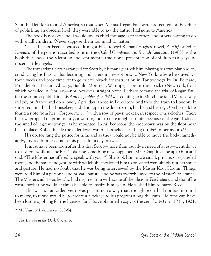Scott had left for a tour of America, so that when Messrs. Kegan Paul were prosecuted for the crime of publishing an obscene libel, they were able to say the author had gone to America.

The book is not obscene. I would say its chief message is to mothers and others having to do with small children: "Never suppose them too small to matter."

Yet had it not been suppressed, it might have robbed Richard Hughes' novel, *A High Wind in Jamaica,* of the position ascribed to it in the *Oxford Companion to English Literature* (1985) as the book that ended the Victorian and sentimental traditional presentation of children as always innocent little angels.

The transatlantic tour arranged for Scott by his manager took him, playing his own piano solos, conducting his Passacaglia, lecturing and attending receptions, to New York, where he stayed for three weeks and took time off to go out to Nyack for instruction in Tantric yoga by Dr. Bernard, Philadelphia, Boston, Chicago, Buffalo, Montreal, Winnipeg, Toronto and back to New York, from which he sailed in February*—*not, however, straight home. Perhaps because the trial of Kegan Paul for the crime of publishing his *Autobiography of a Child* was coming up in March, he idled March away in Italy or France and on a lovely April day landed in Folkestone and took the train to London. It surprised him that his housekeeper did not open the door to him, but he had his keys. On his desk he found a note from her, "Forgive me . . ." with a row of pawn tickets, in respect of his clothes. Then he saw, propped up prominently, a warning not to take a light upstairs because of the gas. Indeed, the smell of it grew stronger as he mounted. In his bedroom, the eiderdown was on the floor near his fireplace. Rolled inside the eiderdown was his housekeeper, the gas-tube<sup>a</sup> in her mouth.<sup>64</sup>

His doctor rang the police for him, and as they would not be able to move the body immediately, invited him to come to his place for a day or two.

It must have been soon after this that Scott*—*more than usually in need of a rest*—*went down to stay for a while at The Firs. This time something new happened. Mrs. Chaplin came up to him and said, "The Master has offered to speak with you."65 She took him into a small, private, oak-paneled room, and the smile and gesture with which she motioned him to be seated were simply not her smile and gesture. He had no doubt that he was being interviewed by the Master Koot Hoomi. Things were told him of a personal and private nature, and he was overwhelmed by the Master's tolerance. The Master said it was he who had inspired him with some of the ideas in *The Initiate*, and that if he wrote further he would at times be able to inspire him again. He wished him to marry Rose.

This was not an order, yet it was put in such a way that, though Scott had not had in mind to marry, to refuse would be to create a blockage to his progress along the path. No time can have been lost in applying for the licence, for (I have obtained a copy of the certificate) on 11 May 1921,

<sup>64</sup> *My Years of Indiscretion*, 263-64.

<sup>65</sup> *The Initiate in the Dark Cycle*, 16.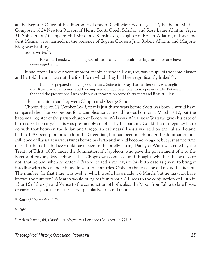at the Register Office of Paddington, in London, Cyril Meir Scott, aged 47, Bachelor, Musical Composer, of 24 Newton Rd, son of Henry Scott, Greek Scholar, and Rose Laure Allatini, Aged 31, Spinster, of 7 Campden Hill Mansions, Kensington, daughter of Robert Allatini, of Independent Means, were married, in the presence of Eugene Goosens Jnr., Robert Allatini and Marjorie Ridgeway Kushing.

Scott writes<sup>66</sup>:

Rose and I made what among Occultists is called an occult marriage, and I for one have never regretted it.

It had after all a seven years apprenticeship behind it. Rose, too, was a pupil of the same Master and he told them it was not the first life in which they had been significantly linked $66a$ :

I am not prepared to divulge our names. Suffice it to say that neither of us was English, that Rose was an authoress and I a composer and had been one, in my previous life. Between that and the present one I was only out of incarnation some thirty years and Rose still less.

This is a claim that they were Chopin and George Sand.

Chopin died on 17 October 1849, that is just thirty years before Scott was born. I would have compared their horoscopes but for a complication. He said he was born on 1 March 1810, but the baptismal register of the parish church of Brochow, Welasova Wola, near Warsaw, gives his date of birth as 22 February.<sup>67</sup> This was presumably supplied by his parents. Could the discrepancy be to do with that between the Julian and Gregorian calendars? Russia was still on the Julian. Poland had in 1582 been prompt to adopt the Gregorian, but had been much under the domination and influence of Russia at various times before his birth and would become so again; but just at the time of his birth, his birthplace would have been in the briefly lasting Duchy of Warsaw, created by the Treaty of Tilsit, 1807, under the domination of Napoleon, who gave the government of it to the Elector of Saxony. My feeling is that Chopin was confused, and thought, whether this was so or not, that he had, when he entered France, to add some days to his birth date as given, to bring it into line with the calendar in use in western countries. Only, in that case, he did not add sufficient. The number, for that time, was twelve, which would have made it 6 March, but he may not have known the number.<sup>b</sup> 6 March would bring his Sun from 3  $\frac{1}{2}$  Pisces to the conjunction of Pluto in ⁄ 15 or 16 of the sign and Venus to the conjunction of both; also, the Moon from Libra to late Pisces or early Aries, but the matter is too speculative to build upon.

66a *Ibid.*

67 Adam Zamoyski, *Chopin. A Biography* (London: Gollancz, 1977), 34.

#### Theosophical History: Occasional Papers VII and the control of the control of the control of the control of the control of the control of the control of the control of the control of the control of the control of the contr

<sup>66</sup> *Bone of Contention*, 177.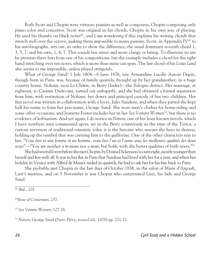Both Scott and Chopin were virtuoso pianists as well as composers, Chopin composing only piano solos and concertos. Scott was original in his chords, Chopin in his own way of playing. He used his thumbs on black notes<sup>68</sup>, and I am wondering if this explains his writing chords that stretch well over the octave, making them impossible to many pianists. Scott, in Appendix IV $^{69}$  to his autobiography, sets out, in order to show the difference, the usual dominant seventh chord 1, 3, 5, 7, and his own, 1, 4, 7. This sounds less sweet and more clangy or biting. To illustrate its use he presents three bars from one of his compositions, but the example includes a chord for the right hand stretching over ten notes, which is more than mine can span. The last chord of his *Lotus Land* also seems to me impossible, unless played *stringendo*.

What of George Sand? 1 July 1804*—*8 June 1876, née Armandine Lucille Aurore Dupin, though born in Paris, was, because of family quarrels, brought up by her grandmother, in a huge country house, Nohant, near Le Châtre, in Berry (Indre)*—*the Sologne district. Her marriage, at eighteen, to Casimir Dudevant, turned out unhappily, and she had obtained a formal separation from him, with restitution of Nohant, her dowry and principal custody of her two children. Her first novel was written in collaboration with a lover, Jules Sandeau, and when they parted she kept half his name to form her pen-name, George Sand. She wore men's clothes for horse-riding and some other occasions, and Jeanette Foster includes her in her *Sex Variant Women*70 , but there is no evidence of lesbianism. And yet again, I do notice in *Nanon*, one of her least known novels, which I have nowhere seen commented upon, set in the Berry countryside in the time of the Terror, a curious inversion of traditional romantic roles: it is the heroine who rescues the hero in distress, holding up the tumbril that was carrying him to the guillotine. One of the other characters says to her, "*Vous êtes ni une femme ni un homme, vous êtes l'un et l'autre avec les meilleures qualités des deux sexes*"*—*"You are neither a woman nor a man, but both, with the better qualities of both sexes."71

She had several lovers before she met Chopin, by Donna Dickenson's count eight, mostly younger than herself and less well off. It was in her flat in Paris that Sandeau had lived with her for a year, and when her holiday in Venice with Alfred de Musset ended in quarrels, he had to ask her for his fare back to Paris.

She probably met Chopin in the last days of October 1836, in the salon of Marie d'Argoult, Liszt's mistress, and on 5 November it was Chopin who entertained Liszt, his lady and George Sand.

<sup>68</sup> *Ibid.*, 103.

<sup>69</sup>*Bone of Contention*, 237.

<sup>70</sup> *Sex Variant Women*, 127-28.

<sup>71</sup> *Nanon*, George Sand (Paris: Flévy, nouvel éd., 1878) pp. 271-72.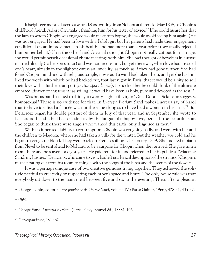It is eighteen months later that we find Sand writing, from Nohant at the end of May 1838, to Chopin's childhood friend, Albert Grzymala<sup>c</sup>, thanking him for his letter of advice.<sup>72</sup> If he could assure her that the lady to whom Chopin was engaged would make him happy, she would avoid seeing him again. (He was not engaged. He had been in love with a Polish girl but her parents had made their engagement conditional on an improvement in his health, and had more than a year before they finally rejected him on her behalf.) If on the other hand Grzymala thought Chopin not really cut out for marriage, she would permit herself occasional chaste meetings with him. She had thought of herself as in a sense married already (to her son's tutor) and was not inconstant, but yet there was, when love had invaded one's heart, already in the slightest caress an infidelity, as much as if they had gone further. She had found Chopin timid and with religious scruple, it was as if a wind had taken them, and yet she had not liked the words with which he had backed out, that last night in Paris, that it would be a pity to soil their love with a further transport (*un transport de plus*). It shocked her he could think of the ultimate embrace (*dernier embrassement*) as soiling; it would have been as holy, pure and devoted as the rest.72a

Was he, as Sand seemed to think, at twenty-eight still virgin? Or as Donna Dickenson suggests, homosexual? There is no evidence for that. In *Lucrezia Floriani* Sand makes Lucrezia say of Karol that to have idealised a fiancée was not the same thing as to have held a woman in his arms.73 But Delacroix began his double portrait of them in July of that year, and in September she wrote to Delacroix that she had been made lazy by the fatigue of a happy love, beneath the beautiful star. She began to think there were angels who walked this earth, only disguised as men.<sup>74</sup>

With an inherited liability to consumption, Chopin was coughing badly, and went with her and the children to Majorca, where she had taken a villa for the winter. But the weather was cold and he began to cough up blood. They were back on French soil on 24 February 1839. She ordered a piano from Pleyel to be sent ahead to Nohant, to be a surprise for Chopin when they arrived. She gave him a room there and he stayed for eight years. He paid rent for it, and referred to her in public as "Madame Sand, my hostess." Delacroix, who came to visit, has left us a lyrical description of the strains of Chopin's music floating out from his room to mingle with the songs of the birds and the scents of the flowers.

It was a perhaps unique case of two creative geniuses living together. They achieved the solitude needful to creativity by respecting each other's space and hours. The only house rule was that everybody sat down to the main meal between five and six in the evening. Then, after a pleasant

73 George Sand, *Lucrezia Floriani*, (Paris: Flévy, nouvel éd., 1888), 106.

<sup>74</sup> *Correspondance*, IV, 462.

#### Theosophical History: Occasional Papers VII and the control of the control of the control of the control of the control of the control of the control of the control of the control of the control of the control of the contr

<sup>72</sup> Georges Lubin, editor, *Correspondance de George Sand*, volume IV (Paris: Gaîner, 1966), 428-31, 435-37.

<sup>72</sup>a *Ibid.*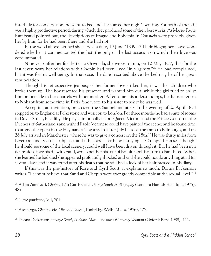interlude for conversation, he went to bed and she started her night's writing. For both of them it was a highly productive period, during which they produced some of their best works. As Marie-Paule Rambeaud pointed out, the descriptions of Prague and Bohemia in *Consuelo* were probably given her by him, for he had been there and she had not.

In the wood above her bed she carved a date, 19 June "1839."75 Their biographers have wondered whether it commemorated the first, the only or the last occasion on which their love was consummated.

Nine years after her first letter to Grzymala, she wrote to him, on 12 May 1837, that for the last seven years her relations with Chopin had been lived "in virginity,"76 He had complained, but it was for his well-being. In that case, the date inscribed above the bed may be of her great renunciation.

Though his retrospective jealousy of her former lovers irked her, it was her children who broke them up. The boy resented his presence and wanted him out, while the girl tried to enlist him on her side in her quarrels with her mother. After some misunderstandings, he did not return to Nohant from some time in Paris. She wrote to his sister to ask if he was well.

Accepting an invitation, he crossed the Channel and at six in the evening of 20 April 1858 stepped on to England at Folkestone and went on to London. For three months he had a suite of rooms in Dover Street, Picadilly. He played informally before Queen Victoria and the Prince Consort at the Duchess of Sutherland's and wished Paolo Veronese could have painted the scene; and he found time to attend the opera in the Haymarket Theatre. In latter July he took the train to Edinburgh, and on 26 July arrived in Manchester, where he was to give a concert on the 28th.77 He was thirty miles from Liverpool and Scott's birthplace, and if his host*—*for he was staying at Crumpsall House*—*thought he should see some of the local scenery, could well have been driven through it. But he had been in a depression since his rift with Sand, which neither his tour of Britain nor his return to Paris lifted. When she learned he had died she appeared profoundly shocked and said she could not do anything at all for several days; and it was found after his death that he still had a lock of her hair pressed in his diary.

If this was the pre-history of Rose and Cyril Scott, it explains so much. Donna Dickenson writes, "I cannot believe that Sand and Chopin were ever greatly compatible at the sexual level."78

75 Adam Zamoyski, *Chopin*, 174; Curtis Cate, *George Sand: A Biography* (London: Hamish Hamilton, 1975), 485.

<sup>76</sup> *Correspondance*, VII, 701.

77 Ates Orga, *Chopin, His Life and Times* (Tonbridge Wells: Midas, 1976), 127.

78 Donna Dickenson, *George Sand, A Brave Man—the most Womanly Woman* (Oxford: Berg, 1988), 111.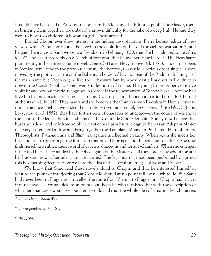It could have been said of Antoinette and Dennis, Viola and the Initiate's pupil. The Master, then, in bringing them together, took aboard a known difficulty for the sake of a deep link. He said they were to have two children, a boy and a girl. These arrived.

But did Chopin ever show interest in the hidden laws of nature? Pierre Leroux, editor of a review to which Sand contributed, believed in the evolution of the soul through reincarnation79 , and he paid them a visit. Sand wrote to a friend, on 26 February 1830, that she had adopted some of his ideas<sup>80</sup>, and again, probably on 8 March of that year, that he was her "new Plato."<sup>81</sup> The ideas figure prominently in her three-volume novel, *Consuelo* (Paris, Flévy, nouvel éd. 1851). Though it opens in Venice, some time in the previous century, the heroine, Consuelo, a serious opera singer, is soon moved by the plot to a castle on the Bohemian border of Bavaria, seat of the Rudolstadt family*—*of German name but Czech origin, like the Lobkowitz family, whose castle Raudnitz or Roudnice is now in the Czech Republic, some twenty miles north of Prague. The young Count Albert, sensitive violinist and obvious mystic, recognises in Consuelo the reincarnation of Wanda Ziska, whom he had loved in his previous incarnation, as Jan Hus, Czech-speaking Bohemian patriot born 1360, burned at the stake 6 July 1412. They marry and she becomes the Comtesse von Rudolstadt. Here a conventional romance might have ended, but in the two-volume sequel, *La Comtesse de Rudolstadt* (Paris, Lévy, nouvel éd. 1857) they have further tests of character to undergo*—*in the course of which, at the court of Frederick the Great she meets the Comte de Saint Germain. She by now believes her husband is dead, and only from an old servant of his learns his true dignity; he was an Adept or Master of a very esoteric order. It would bring together the Templars, Moravian Bretheren, Herrenhunters, Theosophists, Pythagoreans and *Illuminés*, against intellectual tyranny. When again she meets her husband, it is to go through the initiation that he did long ago; and this she must do alone. She now finds herself in a subterranean world of caverns, dungeons and torture-chambers. When she emerges, it is to find herself surrounded by the robed figures of the Masters of all these orders, by whom she and her husband, now at her side again, are married. The legal marriage had been performed by a priest; this is something deeper. Have we here the idea of the "occult marriage" of Rose and Scott?

We know that Sand read these novels aloud to Chopin and that he interested himself at least to the point of interjecting that Consuelo should at no point tell even a white lie. But Sand had never been in Prague nor travelled the route from Vienna to Prague, and Chopin had, twice; it must have, as Donna Dickenson points out, been he who furnished her with the description of what her characters would see. Further, I would add that the whole idea of situating her characters

<sup>81</sup> *Ibid.*, 590.

<sup>79</sup> Cate, *George Sand*, 495.

<sup>80</sup> *Correspondance*, IV, 561.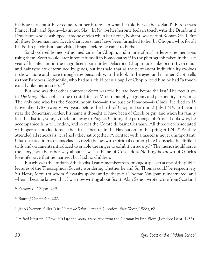in these parts must have come from her interest in what he told her of them. Sand's Europe was France, Italy and Spain*—*Latin not Slav. In *Nanon* her heroine feels in touch with the Druids and Druidesses who worshipped at stone circles when her home, Nohant, was part of Roman Gaul. But all these Bohemian and Czech characters must have been furnished to her by Chopin, who, for all his Polish patriotism, had visited Prague before he came to Paris.

Sand ordered homeopathic medicines for Chopin, and in one of his last letters he mentions using them. Scott would later interest himself in homeopathy.<sup>82</sup> In the photograph taken in the last year of his life, and in the magnificent portrait by Delacroix, Chopin looks like Scott. Eye-colour and hair type are determined by genes, but it is said that as the permanent individuality evolves it shows more and more through the personality, in the look in the eyes, and manner. Scott tells us that Baroness Rothschild, who had as a child been a pupil of Chopin, told him he had "a touch exactly like her master's."83

But who was that other composer Scott was told he had been before the last? The occultism in *The Magic Flute* obliges one to think first of Mozart, but physiognomy and personality are wrong. The only one who has the Scott-Chopin face*—*in the bust by Houdon*—*is Gluck. He died in 15 November 1787, twenty-two years before the birth of Chopin. Born on 2 July 1714, in Bavaria near the Bohemian border, his name is thought to have been of Czech origin, and when his family left the district, young Gluck ran away to Prague. Gaining the patronage of Prince Lobkowitz, he accompanied him to London, and so met the Comte de Saint Germain. All three were associated with operatic productions at the Little Theatre, in the Haymarket, in the spring of 1745.<sup>84</sup> As they attended all rehearsals, it is likely they sat together. A contact with a master is never unimportant. Gluck treated in his operas classic Greek themes with spiritual content; like Consuelo, he disliked trills and ornaments introduced to enable the singer to exhibit virtuosity.85 The music should serve the story, not the other way about; it was a theme of Consuelo's. Nothing is known of Gluck's love-life, save that he married, but had no children.

But who was the Initiate of the books? I can remember from long ago a speaker at one of the public lectures of the Theosophical Society wondering whether he and Sir Thomas could be respectively Sir Henry More (of whom Blavatsky spoke) and perhaps Sir Thomas Vaughan reincarnated; and when it became known that I was now writing about Scott, Alan Senior wrote to me from Scotland

<sup>82</sup> Zamoyski, *Chopin,* 249.

<sup>83</sup> *Bone of Contention*, 202.

<sup>84</sup> Jean Overton Fuller, *The Comte de Saint-Germain* (London: East-West, 1988), 68.

<sup>85</sup> Alfred Einstein, *Gluck, His Life and Work*, translated from the German by Eric Blom (London: Dent, 1936).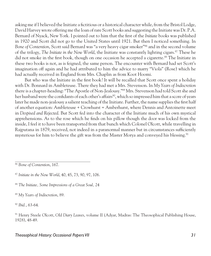asking me if I believed the Initiate a fictitious or a historical character while, from the Bristol Lodge, David Harvey wrote offering me the loan of rare Scott books and suggesting the Initiate was Dr. P.A. Bernard of Nyack, New York. I pointed out to him that the first of the *Initiate* books was published in 1920 and Scott did not go to the United States until 1921. But then I noticed something. In *Bone of Contention*, Scott said Bernard was "a very heavy cigar smoker"86 and in the second volume of the trilogy, *The Initiate in the New World*, the Initiate was constantly lighting cigars.<sup>87</sup> These he did not smoke in the first book, though on one occasion he accepted a cigarette.<sup>88</sup> The Initiate in these two books is not, as is feigned, the same person. The encounter with Bernard had set Scott's imagination off again and he had attributed to him the advice to marry "Viola" (Rose) which he had actually received in England from Mrs. Chaplin as from Koot Hoomi.

But who was the Initiate in the first book? It will be recalled that Scott once spent a holiday with Dr. Bonnard in Ambleteuse. There they had met a Mrs. Stevenson. In *My Years of Indiscretion* there is a chapter-heading: "The Apostle of Non-Jealousy."89 Mrs. Stevenson had told Scott she and her husband were the confidants of each other's affairs<sup>90</sup>, which so impressed him that a score of years later he made non-jealousy a salient teaching of the Initiate. Further, the name supplies the first half of another equation: Ambleteuse + Crowhurst = Amberhurst, where Dennis and Antoinette meet in *Despised and Rejected*. But Scott fed into the character of the Initiate much of his own mystical apprehensions. As to the rose which he finds on his pillow though the door was locked from the inside, I feel it to have been transported from that bunch which Colonel Olcott, while travelling in Rajputana in 1879, received, not indeed in a paranormal manner but in circumstances sufficiently mysterious for him to believe the gift was from the Master Morya and conveyed his blessing.<sup>91</sup>

<sup>86</sup> *Bone of Contention*, 167.

<sup>88</sup> *The Initiate, Some Impressions of a Great Soul,* 24

<sup>89</sup> *My Years of Indiscretion*, 89.

<sup>90</sup> *Ibid.*, 63-64.

91 Henry Steele Olcott, *OId Diary Leaves*, volume II (Adyar, Madras: The Theosophical Publishing House, 1928), 48-49.

<sup>87</sup> *Initiate in the New World*, 40, 45, 73, 90, 97, 106.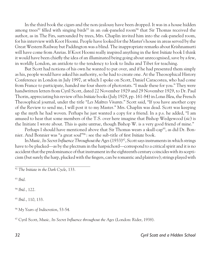In the third book the cigars and the non-jealousy have been dropped. It was in a house hidden among trees<sup>92</sup> filled with singing birds<sup>93</sup> in an oak-paneled room<sup>94</sup> that Sir Thomas received the author, as in The Firs, surrounded by trees, Mrs. Chaplin invited him into the oak-paneled room, for his interview with Koot Hoomi. People have looked for the Master's house in areas served by the Great Western Railway but Paddington was a blind. The inappropriate remarks about Krishnamurti will have come from Anrias. If Koot Hoomi really inspired anything in the first *Initiate* book I think it would have been chiefly the idea of an illuminated being going about unrecognised, save by a few, in worldly London, an antidote to the tendency to look to India and Tibet for teaching.

But Scott had notions of his own he wanted to put over, and if he had presented them simply as his, people would have asked his authority, so he had to create one. At the Theosophical History Conference in London in July 1997, at which I spoke on Scott, Daniel Caracostea, who had come from France to participate, handed me four sheets of photostats. "I made these for you." They were handwritten letters from Cyril Scott, dated 22 November 1929 and 29 November 1929, to Dr. Paul Thorin, appreciating his review of his *Initiate* books (July 1929, pp. 161-84) in *Lotus Bleu*, the French Theosophical journal, under the title "*Les Maîtres Vivants*." Scott said, "If you have another copy of the Review to send me, I will post it to my Master." Mrs. Chaplin was dead. Scott was keeping up the myth he had woven. Perhaps he just wanted a copy for a friend. In a p.s. he added, "I am amused to hear that some members of the T.S. over here imagine that Bishop Wedgewood (*sic*) is the Initiate I wrote about. This is quite untrue, though Bishop W. is a very good friend of mine."

Perhaps I should have mentioned above that Sir Thomas wears a skull-cap<sup>95</sup>, as did Dr. Bonnier. And Bonnier was "a great soul"96 : see the sub-title of first *Initiate* book.

In *Music, Its Secret Influence Throughout the Ages* (1933)97, Scott says instruments in which strings have to be plucked*—*as by the plectrum in the harpsichord*—*correspond to a critical spirit and it is no accident that the predominance of that instrument in the eighteenth century coincides with its scepticism (but surely the harp, plucked with the fingers, can be romantic and plaintive); strings played with

<sup>93</sup> *Ibid.*

<sup>94</sup> *Ibid.*, 122.

<sup>95</sup> *Ibid.*, 110, 133.

<sup>96</sup> *My Years of Indiscretion*, 53-54.

97 Cyril Scott, *Music, Its Secret Influence throughout the Ages* (London: Rider, 1938).

<sup>&</sup>lt;sup>92</sup> The Initiate in the Dark Cycle, 133.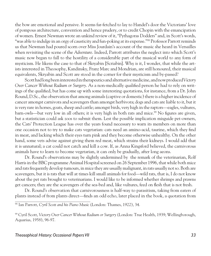the bow are emotional and pensive. It seems far-fetched to lay to Handel's door the Victorians' love of pompous architecture, convention and hence prudery, or to credit Chopin with the emancipation of women. Ernest Newman wrote an unkind review of it, "Pythagoras Dodders" and, in Scott's words, "was able to indulge in an orgy of causticity and fun-poking at its expense."98 Professor Parrott reminds us that Newman had poured scorn over Miss Jourdain's account of the music she heard in Versailles when revisiting the scene of the *Adventure*. Indeed, Parrott attributes the neglect into which Scott's music now began to fall to the hostility of a considerable part of the musical world to any form of mysticism. He likens the case to that of Skryabin [Scriabin]. Why is it, I wonder, that while the artists interested in Theosophy, Kandinsky, Franz Marc and Mondrian, are still honoured, their musical equivalents, Skryabin and Scott are stood in the corner for their mysticism and by-passed?

Scott had long been interested in therapeutics and alternative medicine, and now produced *Victory Over Cancer Without Radium or Surgery*. As a non-medically qualified person he had to rely on writings of the qualified, but has come up with some interesting quotations, for instance, from a Dr. John Round, D.Sc., the observation that among animals (captive or domestic) there is a higher incidence of cancer amongst carnivora and scavengers than amongst herbivora; dogs and cats are liable to it, but it is very rare in horses, goats, sheep and cattle; amongst birds, very high in the raptors*—*eagles, vultures, barn-owls—but very low in all others; it is very high in both rats and mice.<sup>99</sup> No figures are given, but a statistician could ask zoos to submit them. Lest the possible implication misguide pet-owners, the Cats' Protection League has over the years found necessary to warn its members on more than one occasion not to try to make cats vegetarian: cats need an amino-acid, taurine, which they find in meat, and lacking which their eyes turn pink and they become otherwise unhealthy. On the other hand, some vets advise against giving them red meat, which strains their kidneys. I would add that it is unnatural; a cat could not catch and kill a cow. If, as Anna Kingsford believed, the carnivorous animals have to learn to become vegetarian, it can only be gradually, after long aeons.

Dr. Round's observations may be slightly undermined by the remark of the veterinarian, Rolf Harris in the BBC programme Animal Hospital screened on 26 September 1996, that while both mice and rats frequently develop tumours, in mice they are usually malignant, in rats usually not so. Both are scavengers, but it is rats that will at times kill small animals for food*—*wild rats, that is, I do not know about the pet rats brought to veterinarians. I would like to be informed whether shrimps and prawns get cancers; they are the scavengers of the sea-bed and, like vultures, feed on flesh that is not fresh.

Dr. Round's observation that carnivorousness is half-way to parasitism, taking from eaters of plants instead of from plants direct*—*finds an odd echo, later placed in the book, a quotation from

<sup>98</sup> Ian Parrott, *Cyril Scott and his Piano Music* (London: Thames, 1922), 34.

<sup>99</sup> Cyril Scott, *Victory Over Cancer Without Radium or Surgery* (London: True Health, 1939; Wellingborough, Aquarius, 1958), 96-97.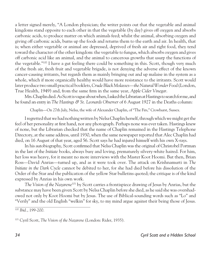a letter signed merely, "A London physician; the writer points out that the vegetable and animal kingdoms stand opposite to each other in that the vegetable (by day) gives off oxygen and absorbs carbonic acids, to produce matter on which animals feed; whilst the animal, absorbing oxygen and giving off carbonic acids, burns up the foods and returns them to the earth and air. In health, that is; when either vegetable or animal are depressed, deprived of fresh air and right food, they tend toward the character of the other kingdom: the vegetable to fungus, which absorbs oxygen and gives off carbonic acid like an animal, and the animal to cancerous growths that usurp the functions of the vegetable."100 I have a gut feeling there could be something in this. Scott, though very much of the fresh air, fresh fruit and vegetable brigade, is not denying the adverse effect of the known cancer-causing irritants, but regards them as mainly bringing out and up malaise in the system as a whole, which if more organically healthy would have more resistance to the irritants. Scott would later produce two small practical booklets, *Crude Black Molasses—the Natural Wonder Food* (London, True Health, 1949) and, from the same firm in the same year, *Apple Cider Vinegar*.

Mrs. Chaplin died. As Scott is vague about when, I asked the Librarian at Hastings to search for me, and he found an entry in *The Hastings & St. Leonards Observer* of 6 August 1927 in the Deaths column:

Chaplin*—*On 27th July, Nelsa, the wife of Alexander Chaplin, of "The Firs," Crowhurst, Sussex.

I regretted that we had nothing written by Nelsa Chaplin herself, through which we might get the feel of her personality at first hand, nor any photograph. Perhaps none was ever taken. Hastings knew of none, but the Librarian checked that the name of Chaplin remained in the Hastings Telephone Directory, at the same address, until 1930, when the same newspaper reported that Alec Chaplin had died, on 16 August of that year, aged 56. Scott says he had injured himself with his own X-rays.

In his autobiography, Scott confirmed that Nelsa Chaplin was the original of Christobel Portman in the last of the *Initiate* books, always busy and loving, prematurely silvery-white haired. For him, her loss was heavy, for it meant no more interviews with the Master Koot Hoomi. But then, Brian Ross*—*David Anrias*—*turned up, and as it were took over. The attack on Krishnamurti in *The Initiate in the Dark Cycle* cannot be debited to her, for she had died before his dissolution of the Order of the Star and the publication of the yellow Star bulletins quoted; the critique is of the kind expressed by Anrias in his own work.

*The Vision of the Nazarene*101 by Scott carries a frontispiece drawing of Jesus by Anrias, but the substance may have been given Scott by Nelsa Chaplin before she died, as he said she was overshadowed not only by Koot Hoomi but by Jesus. The use of Biblical-sounding words such as "Lo" and "Verily" and the old English "welkin" for sky, to my mind argue against their being those of Jesus.

<sup>100</sup> *Ibid.*, 199-200.

<sup>101</sup> Cyril Scott, *The Vision of the Nazarene* (London: Rider, 1935).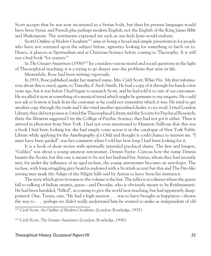Scott accepts that he was now incarnated in a Syrian body, but then his present languages would have been Syriac and French plus perhaps modern English, not the English of the King James *Bible* and Shakespeare. The sentiments expressed are such as one feels Jesus would endorse.

Scott's Outline of Modern Occultism<sup>102</sup> aims at being a broad and simple presentation for people who have not ventured upon the subject before, agnostics looking for something to latch on to. Hence, it glances at Spiritualism and at Christian Science before coming to Theosophy. It is still not a bad book "for starters."

In *The Greater Awareness* (1936)103 he considers various moral and social questions in the light of Theosophical teaching; it is a trying to go deeper into the problems that arise in life.

Meanwhile, Rose had been writing vigorously.

In 1933, Rose published under her married name, Mrs. Cyril Scott, *White Fire*. My first information about this is owed, again, to Timothy d' Arch Smith. He had a copy of it through his hands a few years ago, but it was before I had begun to research Scott, and he had sold it to one of our customers. He recalled it now as something of a mystical trend which might be germane to my enquiry. He could not ask to borrow it back from the customer as he could not remember which it was. He tried to get another copy through the trade and I also tried another specialised dealer, to no avail. I tried London Library; they did not possess it; I tried the Theosophical Library and the Society for Psychical Research; there the librarian suggested I try the College of Psychic Science; they had not got it either. Then it arrived in photostat from New York. I had not even mentioned to Maureen Sullivan that this was a book I had been looking for; she had simply come across it in the catalogue of New York Public Library while applying for the *Autobiography of a Child* and thought it could chance to interest me. "I must have been guided", was her comment when I told her how long I had been looking for it.

It is a book of short stories with spiritually intended psychical slants. The first and longest, "Galileo" was about a young amateur astronomer, Dennis Fayne. Curious how the name Dennis haunts the Scotts, but this one is meant to be not her husband but Anrias, whom they had recently met, for under the influence of an aged recluse, the young astronomer becomes an astrologer. The recluse, with long straggling grey beard is endowed with a Scottish accent but this and The Firs-like setting may mask the Adept of the Nilgiri hills said by Anrias to have been his instructor.

The story which gives its name to the volume is the last. The teller is at a dinner where the guests fall to talking of Indian swamis, gurus*—*and Devadas, who is obviously meant to be Krishnamurti. He had been heralded, "billed", as coming to give the world new teaching, but had apparently disappointed. One, Teresa, says, "He had a high mission . . . was to have brought us happiness*—*shown the way to . . . perhaps we didn't really understand him he wanted to make us independent of old

102 Cyril Scott, *An Outline of Modern Occultism*, (London: Routledge, 1935).

103 Cyril Scott, *The Greater Awareness* (London: Routledge, 1936).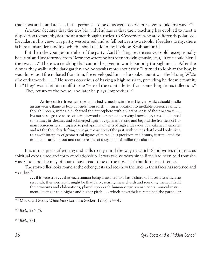traditions and standards . . . but*—*perhaps*—*some of us were too old ourselves to take his way."104

Another declares that the trouble with Indians is that their teaching has evolved to meet a disposition to metaphysics and abstract thought, useless to Westerners, who are differently polarised. Devadas, in his view, was partly westernised and so fell between two stools.[Needless to say, there is here a misunderstanding, which I shall tackle in my book on Krishnamurti.]

But then the youngest member of the party, Carl Harling, seventeen years old, exceptionally beautiful and just returned from Germany where he has been studying music, says, "If one could blend the two . . . ." There is a teaching that cannot be given in words but only through music. After the dinner they walk in the dark garden and he speaks more about this: "I turned to look at the boy, it was almost as if fire radiated from him, fire enveloped him as he spoke.. but it was the blazing *White Fire* of diamonds . . . ." He seems conscious of having a high mission, providing he doesn't muff it; but "They" won't let him muff it. She "sensed the capital letter from something in his inflection." They return to the house, and later he plays, improvises.<sup>105</sup>

An invocation it seemed, to what he had termed the fire from Heaven, which should kindle an answering flame to leap upwards from earth . . . an invocation to ineffable presences which, though unseen, intangible, charged the atmosphere with a vibrant sense of their nearness . . . his music suggested states of being beyond the range of everyday knowledge, sensed, glimpsed sometimes in dreams, and submerged again . . . spheres beyond and beyond the frontiers of human consciousness . . . aspired to perhaps in moments of high endeavour. It awakened memories and set the thoughts drifting down grim corridors of the past, with sounds that I could only liken to a swift interplay of geometrical figures of miraculous precision and beauty, it stimulated the mind and carried it out and out to realms of dizzy and unfamiliar speculation.

It is a nice piece of writing and calls to my mind the way in which Sand writes of music, as spiritual experience and form of relationship. It was twelve years since Rose had been told that she was Sand, and she may of course have read some of the novels of that former existence.

The story-teller looks round at the other guests and sees how the lines in their faces has softened and wonders<sup>106</sup>

. . . if it were true . . . that each human being is attuned to a basic chord of his own to which he responds, then perhaps it might be that Larry, sensing these chords and sounding them with all their variants and elaborations, played upon each human organism as upon a musical instrument, keying it to a higher and higher pitch . . . which nevertheless remained the particular

104 Mrs. Cyril Scott, *White Fire* (London: Secker, 1933), 244-45.

<sup>105</sup> *Ibid.*, 274-75.

<sup>106</sup> *Ibid.*, 281.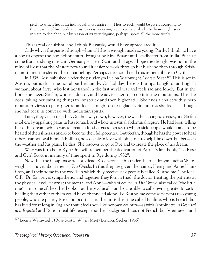pitch to which he, as an individual, must aspire . . . Thus to each would be given according to the measure of his needs and his responsiveness*—*given in a code which the brain might seek in vain to decipher, but by reason of its very disguise, perhaps, spoke all the more surely . . ..

This is real occultism, and I think Blavatsky would have appreciated it.

Only why is the pianist through whom all this is wrought made so young? Partly, I think, to have a boy to oppose the boy Krishnamurti brought by Mrs. Besant and Leadbeater from India. But just come from studying music in Germany suggests Scott at that age. I hope the thought was not in the mind of Rose that the Masters now found it easier to work through her husband than through Krishnamurti and transferred their channeling. Perhaps one should read this as her tribute to Cyril.

In 1935, Rose published, under the pseudonym Lucina Wainwright, *Waters Meet*. 107 This is set in Austria, but is this time not about her family. On holiday there is Phillipa Langford, an English woman, about forty, who lost her fiancé in the first world war and feels sad and lonely. But in the hotel she meets Stefan, who is a doctor, and he advises her to go up into the mountains. This she does, taking her painting things to Innsbruck and then higher still. She finds a chalet with superb mountain views to paint; her room looks straight on to a glacier. Stefan says she looks as though she had been in converse with mountain spirits.

Later, they visit it together. On their way down, however, the weather changes to nasty, and Stefan is taken, by appalling pains in his stomach and whole intestinal abdominal region. He had been telling her of his dream, which was to create a kind of guest house, to which sick people would come, to be healed of their illnesses and so to become their full potential. But Stefan, though he has the power to heal others, cannot heal himself. Phillipa, now deeply in love with him, tries to help him down, but between the weather and his pains, he dies. She resolves to go to Rye and to create the place of his dream.

Why was it to be in Rye? One will remember the dedication of Anrias's first book, "To Rose and Cyril Scott in memory of time spent in Rye during 1932".

Now that the Chaplins were both dead, Rose wrote*—*this under the pseudonym Lucina Wainwright*—*a novel about them*—The Oracle*. In this they are given the names, Henry and Anne Hamilton, and their home in the woods in which they receive sick people is called Restholme. The local G.P., Dr. Sawyer, is sympathetic, and together they form a triad, the doctor treating the patients at the physical level, Henry at the mental and Anne*—*who of course in *The Oracle*, also called "the little one" as in some of the other books*—*at the psychical*—*and so are able to call down a greater force for healing than either of them could have channeled alone. To Restholme come as patients two young people, who are plainly Rose and Scott again; the girl is this time called Pauline, who is French but has lived for so long in England that it feels now like her own country*—*as with Antoinette in *Despised and Rejected* and Rose in real life, except that her background was not French but Viennese*—*and

<sup>107</sup> Lucina Wainwright (Rose Scott), *Waters Meet* (London: Secker, 1935).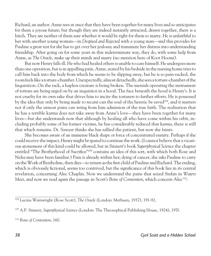Richard, an author. Anne sees at once that they have been together for many lives and so anticipates for them a joyous future; but though they are indeed instantly attracted, drawn together, there is a hitch. They are neither of them sure whether it would be right for them to marry. He is unfaithful to her with another young woman*—*in *Despised and Rejected* with a young man*—*and this provides for Pauline a great test for she has to get over her jealousy and transmute her distress into understanding friendship. After going on for some years in this indeterminate way, they do, with some help from Anne, as *The Oracle*, make up their minds and marry (no mention here of Koot Hoomi).

But now Henry falls ill. He who had healed others is unable to cure himself. He undergoes more than one operation, but is in appalling pain. Anne, seated by his bedside in the nursing home tries to call him back into the body from which he seems to be slipping away, but he is so pain-racked, the room feels like a torture-chamber. Unexpectedly, almost detachedly, she sees a torture-chamber of the Inquisition. On the rack, a hapless creature is being broken. The menials operating the instrument of torture are being urged on by an inquisitor in a hood. The face beneath the hood is Henry's. It is not cruelty for its own sake that drives him to incite the torturers to further efforts. He is possessed by the idea that only by being made to recant can the soul of the heretic be saved<sup>108</sup>, and it matters not if only the utmost pains can wring from him admission of the true faith. The realisation that he has a terrible karma does not take away from Anne's love*—*they have been together for many lives*—*but she understands now that although by healing all who have come within his orbit, including probably some of his former victims, he has considerably reduced that karma, there is still that which remains. Dr. Sawyer thinks she has rallied the patient, but now she faints.

She becomes aware of an immense black shape or force of concentrated enmity. Perhaps if she could receive the impact, Henry might be spared to continue the work. (I cannot believe that a vicarious atonement of this kind could be allowed, but in Sinnett's book *Superphysical Science* the chapter entitled "The Brotherhood of Sacrifice"109 contains an idea of this sort, with which both Rose and Nelsa may have been familiar.) Pain is already within her; dying of cancer, she asks Pauline to carry on the Work of Restholme, then dies*—*to return as the first child of Pauline and Richard. The ending, which is obviously fictional, seems too contrived, but the significance of this book lies in its central revelation, concerning Alec Chaplin. Now we understand the pains that seized Stefan in *Waters Meet*, and now we read again the passage in Scott's *Bone of Contention*, which concern Alec<sup>110</sup>:

<sup>108</sup> Lucina Wainwright (Rose Scott), *The Oracle* (London: Methuen, 1937), 191-92.

<sup>109</sup> A.P. Sinnett, *Superphysical Science* (London: The Theosophical Publishing House, 1924), 197f.

<sup>110</sup> *Bone of Contention*, 160.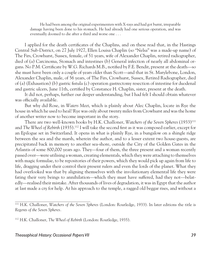He had been among the original experimenters with X-rays and had got burnt, irreparable damage having been done to his stomach. He had already had one serious operation, and was eventually doomed to die after a third and worse one . . .

I applied for the death certificates of the Chaplins, and on these read that, in the Hastings Central Sub-District, on 27 July 1927, Ellen Louisa Chaplin (so "Nelsa" was a made-up name) of The Firs, Crowhurst, Sussex, female, of 51 years, wife of Alexander Chaplin, retired radiographer, died of (a) Carcinoma, Stomach and intestines (b) General infection of nearly all abdominal organs. No P.M. Certificate by W.G. Richards M.B., notified by F.E. Bendit, present at the death*—*so she must have been only a couple of years older than Scott*—*and that in St. Marylebone, London, Alexander Chaplin, male, of 56 years, of The Firs, Crowhurst, Sussex, Retired Radiographer, died of (a) (Exhaustion) (b) gastric fistula (c) operation gastrectomy resection of intestine for duodenal and gastric ulcers, June 11th, certified by Constance H. Chaplin, sister, present at the death.

It did not, perhaps, further our deeper understanding, but I had felt I should obtain whatever was officially available.

But why did Rose, in *Waters Meet*, which is plainly about Alec Chaplin, locate in Rye the house in which he used to heal? Rye was only about twenty miles from Crowhurst and was the home of another writer now to become important in the story.

There are two well-known books by H.K. Challoner, *Watchers of the Seven Spheres* (1933)111 and *The Wheel of Rebirth* (1935).112 I will take the second first as it was composed earlier, except for an Epilogue set in Switzerland. It opens in what is plainly Rye, in a bungalow on a shingle ridge between the sea and the marsh, wherein the author, and to a lesser extent two house-guests, are precipitated back in memory to another sea-shore, outside the City of the Golden Gates in the Atlantis of some 800,000 years ago. They*—*four of them, the three present and a woman recently passed over*—*were utilising a woman, creating elementals, which they were attaching to themselves with magic formulae, to be repositories of their powers, which they would pick up again from life to life, dragging under their control their present rulers and even the lords of the planet. What they had overlooked was that by aligning themselves with the involutionary elemental life they were fating their very beings to annihilation*—*which they must have suffered, had they not*—*belatedly*—*realised their mistake. After thousands of lives of degradation, it was in Egypt that the author at last made a cry for help. At his approach to the temple, a ragged old beggar rises, and without a

<sup>111</sup> H.K. Challoner, *Watchers of the Seven Spheres* (London: Routledge, 1933). In later editions the title is *Regents of the Seven Spheres.*

<sup>112</sup> H.K. Challoner, *The Wheel of Rebirth* (London: Routledge, 1935).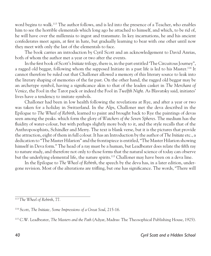word begins to walk.<sup>113</sup> The author follows, and is led into the presence of a Teacher, who enables him to see the horrible elementals which long ago he attached to himself, and which, to be rid of, he will have over the millennia to ingest and transmute. In key incarnations, he and his ancient confederates meet again, at first in hate, but gradually learning to bear with one other until now they meet with only the last of the elementals to face.

The book carries an introduction by Cyril Scott and an acknowledgement to David Anrias, both of whom the author met a year or two after the events.

In the first book of Scott's *Initiate* trilogy, there is, in the part entitled 'The Circuitous Journey", a ragged old beggar, following whom the supposed Initiate in a past life is led to his Master.114 It cannot therefore be ruled out that Challoner allowed a memory of this literary source to leak into the literary shaping of memories of the far past. On the other hand, the ragged old beggar may be an archetype symbol, having a significance akin to that of the leaden casket in *The Merchant of Venice*, the Fool in the Tarot pack or indeed the Fool in *Twelfth Night*. As Blavatsky said, initiates' lives have a tendency to imitate symbols.

Challoner had been in low health following the revelations at Rye, and after a year or two was taken for a holiday in Switzerland. In the Alps, Challoner met the deva described in the Epilogue to *The Wheel of Rebirth*, learned to paint and brought back to Rye the paintings of devas seen among the peaks. which form the glory of *Watchers of the Seven Spheres*. The medium has the fluidity of water-colour, but with perhaps slightly more body to it, and the style recalls that of the Anthroposophists, Schindler and Merry. The text is blank verse, but it is the pictures that provide the attraction, eight of them in full colour. It has an Introduction by the author of *The Initiate* etc., a dedication to "The Master Hilarion" and the frontispiece is entitled, "The Master Hilarion showing himself in Deva form." The head of a ray must be a human, but Leadbeater does relate the fifth ray to nature study, and therefore not only to those forms that the natural science of today can observe but the underlying elemental life, the nature spirits.<sup>115</sup> Challoner may have been on a deva line.

In the Epilogue to *The Wheel of Rebirth*, the speech by the deva has, in a later edition, undergone revision. Most of the alterations are trifling, but one has significance. The words, "There will

<sup>113</sup>*The Wheel of Rebirth*, 77.

<sup>114</sup> Scott, *The Initiate, Some Impressions of a Great Soul*, 215-16.

<sup>115</sup> C.W. Leadbeater, *The Masters and the Path* (Adyar, Madras: The Theosophical Publishing House, 1925).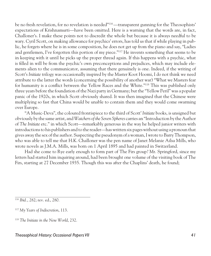be no fresh revelation, for no revelation is needed"116 —transparent gunning for the Theosophists' expectations of Krishnamurti*—*have been omitted. Here is a warning that the words are, in fact, Challoner's. I make these points not to discredit the whole but because it is always needful to be wary. Cyril Scott, on making allowance for psychics' errors, has told us that if while playing in public, he forgets where he is in some composition, he does not get up from the piano and say, "Ladies and gentlemen, I've forgotten this portion of my piece."117 He invents something that seems to be in keeping with it until he picks up the proper thread again. If this happens with a psychic, what is filled in will be from the psychic's own preconceptions and prejudices, which may include elements alien to the communicator, assuming that there genuinely is one. Indeed, if the writing of Scott's *Initiate* trilogy was occasionally inspired by the Master Koot Hoomi, I do not think we need attribute to the latter the words (concerning the possibility of another war) "What we Masters fear for humanity is a conflict between the Yellow Races and the White."118 This was published only three years before the foundation of the Nazi party in Germany; but the "Yellow Peril" was a popular panic of the 1920s, in which Scott obviously shared. It was then imagined that the Chinese were multiplying so fast that China would be unable to contain them and they would come swarming over Europe.

"A Music-Deva", the coloured frontispiece to the third of Scott' *Initiate* books, is unsigned but obviously by the same artist, and *Watchers of the Seven Spheres* carries an "Introduction by the Author of *The Initiate* etc." in which Scott*—*remarkably generous in the way he helped junior writers with introductions to his publishers and to the reader*—*has written six pages without using a pronoun that gives away the sex of the author. Suspecting the pseudonym of a woman, I wrote to Barry Thompson, who was able to tell me that H.K. Challoner was the pen name of Janet Melanie Ailsa Mills, who wrote novels as J.M.A. Mills, was born on 1 April 1895 and had painted in Switzerland.

Had she come to Rye early enough to form part of The Firs group? Mr. Springford, since my letters had started him inquiring around, had been brought one volume of the visiting book of The Firs, starting at 27 December 1935. Though this was after the Chaplins' death, he found;

<sup>116</sup> *Ibid.*, 282; rev. ed., 280.

<sup>117</sup> *My Years of Indiscretion*, 113.

<sup>118</sup> *The Initiate in the New World*, 232.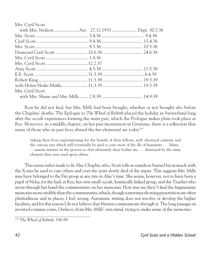| Mrs. Cyril Scott                                  |  |
|---------------------------------------------------|--|
| with Mrs. Neilson  Arr. 27.12.1935  Dept. 30.3.36 |  |
|                                                   |  |
|                                                   |  |
|                                                   |  |
|                                                   |  |
|                                                   |  |
|                                                   |  |
|                                                   |  |
|                                                   |  |
|                                                   |  |
|                                                   |  |
| Mrs. Cyril Scott                                  |  |
|                                                   |  |

Ross he did not find, but Mrs. Mills had been brought, whether or not brought also before the Chaplins' deaths. The Epilogue to *The Wheel of Rebirth* placed the holiday in Switzerland long after the occult experiences forming the main part, which the Prologue makes plain took place at Rye. Moreover, in a middle chapter, on her past incarnation in Germany, there is a reflection that many of those who in past lives abused the fire elemental are today<sup>119</sup>

risking their lives experimenting for the benefit of their fellows, with electrical currents and the various rays which will eventually be used to cure most of the ills of humanity . . . Many . . . sustain injuries in the process so that ultimately their bodies are . . . destroyed by the same element they once used upon others.

This seems tailor-made to fit Alec Chaplin, who, Scott tells us somehow burned his stomach with the X-rays he used to cure others and over the years slowly died of the injury. This suggests Mrs. Mills may have belonged to the Firs group at any rate in Alec's time. She seems, however, not to have been a pupil of Nelsa, for she had, at Rye, her own small occult, karmically linked group, and the Teacher who wrote through her hand the commentaries on her memories. How true are they? I find the fragmentary memories more credible than the commentaries, which, though sometimes showing penetration are often platitudinous and in places, I feel, wrong. Automatic writing does not involve or develop the higher faculties, and for this reason I do not believe that Masters communicate through it. The long passages in inverted commas come, I believe, from Mrs. Mills' own mind, trying to make sense of the memories.

<sup>119</sup> *The Wheel of Rebirth*, 198-99.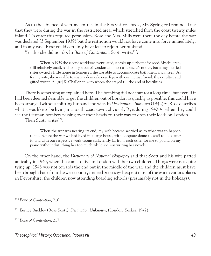As to the absence of wartime entries in the Firs visitors' book, Mr. Springford reminded me that they were during the war in the restricted area, which stretched from the coast twenty miles inland. To enter this required permission. Rose and Mrs. Mills were there the day before the war was declared (3 September 1939) but the restriction would not have come into force immediately, and in any case, Rose could certainly have left to rejoin her husband.

Yet this she did not do. In *Bone of Contention*, Scott writes<sup>120</sup>:

When in 1939 the second world war eventuated, it broke up our home for good. My children, still relatively small, had to be got out of London at almost a moment's notice, but as my married sister owned a little house in Somerset, she was able to accommodate both them and myself. As for my wife, she was able to share a domicile near Rye with our mutual friend, the occultist and gifted writer, A. [*sic*] K. Challoner, with whom she stayed till the end of hostilities.

There is something unexplained here. The bombing did not start for a long time, but even if it had been deemed desirable to get the children out of London as quickly as possible, this could have been arranged without splitting husband and wife. In *Destination Unknown* (1942)121, Rose describes what it was like to be living in a south coast town, obviously Rye, during 1940-41 when they could see the German bombers passing over their heads on their way to drop their loads on London.

Then Scott writes<sup>122</sup>:

When the war was nearing its end, my wife became worried as to what was to happen to me. Before the war we had lived in a large house, with adequate domestic staff to look after it, and with our respective work-rooms sufficiently far from each other for me to pound on my piano without disturbing her too much while she was writing her novels.

On the other hand, the *Dictionary of National Biography* said that Scott and his wife parted amicably in 1943, when she came to live in London with her two children. Things were not quite tying up. 1943 was not towards the end but in the middle of the war, and the children must have been brought back from the west country; indeed Scott says he spent most of the war in various places in Devonshire, the children now attending boarding schools (presumably not in the holidays).

<sup>120</sup> *Bone of Contention*, 210.

<sup>121</sup> Eunice Buckley (Rose Scott), *Destination Unknown*, (London: Secker, 1942).

<sup>122</sup> *Bone of Contention*, 217.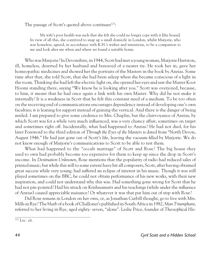The passage of Scott's quoted above continues<sup>123</sup>:

My wife's poor health was such that she felt she could no longer cope with it [the house]. In view of all this, she contrived to snap up a small domicile in London, whilst Marjorie, who was homeless, agreed, in accordance with K.H.'s wishes and intentions, to be a companion to me and look after me when and where we found a suitable home.

Who was Marjorie? In Devonshire, in 1944, Scott had met a young woman, Marjorie Hartston, ill, homeless, deserted by her husband and bereaved of a nearer tie. He took her in, gave her homeopathic medicines and showed her the portraits of the Masters in the book by Anrias. Some time after that, she told Scott, that she had been asleep when she became conscious of a light in the room. Thinking she had left the electric light on, she opened her eyes and saw the Master Koot Hoomi standing there, saying "We know he is looking after you." Scott was overjoyed, because, to him, it meant that he had once again a link with his own Master. Why did he not make it internally? It is a weakness in Scott that he felt this constant need of a medium. To be too often on the receiving end of communications encourages dependency instead of developing one's own faculties; it is leaning for support instead of gaining the vertical. And there is the danger of being misled. I am prepared to give some credence to Mrs. Chaplin, but the clairvoyance of Anrias, by which Scott was for a while very much influenced, was a very chancy affair, sometimes on target and sometimes right off. Incidentally, what had happened to Anrias? He had not died, for his later Foreword to the third edition of *Through the Eyes of the Masters* is dated from "North Devon, August 1946." He had just gone out of Scott's life, leaving the vacuum filled by Marjorie. We do not know enough of Marjorie's communications to Scott to be able to test them.

What had happened to the "occult marriage" of Scott and Rose? The big house they used to own had probably become too expensive for them to keep up since the drop in Scott's income. In *Destination Unknown*, Rose mentions that the popularity of radio had reduced sales of printed music; but while this will to some extent have hit all composers, Scott, after having obtained great success while very young, had suffered an eclipse of interest in his music. Though it was still played sometimes on the BBC, he could not obtain performance of his new works, with their new inspiration, and could not understand why this was. Had something gone wrong for Scott that he had not pin-pointed? Had his attack on Krishnamurti and his teachings (while under the influence of Anrias) caused appreciable nuisance? Or whatever it was that put him out of step with Rose?

Did Rose remain in London on her own, or, as Jonathan Cutbill thought, go to live with Mrs. Mills in Rye? The blurb of a book of Challoner's published in South Africa in 1982, *Man Triumphant*, referred to her living in Rye, aged eighty- seven, "alone". Leslie Price, founder of *Theosophical His-*

<sup>123</sup> *Loc. cit.*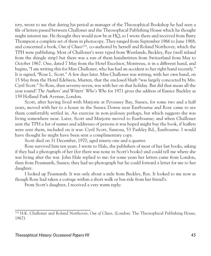*tory*, wrote to me that during his period as manager of the Theosophical Bookshop he had seen a file of letters passed between Challoner and the Theosophical Publishing House which he thought might interest me. He thought they would now be at HQ, so I wrote there and received from Barry Thompson a complete set of them in photocopy. They ranged from September 1966 to June 1968, and concerned a book, *Out of Chaos*124*,* co-authored by herself and Roland Northover, which the TPH were publishing. Most of Challoner's were typed from Westlands, Beckley, Rye (well inland from the shingle strip) but there was a run of them handwritten from Switzerland from May to October 1967. One, dated 7 May from the Hotel Excelsior, Montreux, is in a different hand, and begins, "I am writing this for Miss Challoner, who has had an accident to her right hand recently." It is signed, "Rose L. Scott." A few days later. Miss Challoner was writing, with her own hand, on 15 May from the Hotel Edelweis, Murren, that the enclosed blurb "was largely concocted by Mrs. Cyril Scott." So Rose, then seventy-seven, was with her on that holiday. But did that mean all the year round? *The Authors' and Writers' Who's Who* for 1971 gives the address of Eunice Buckley as 159 Holland Park Avenue, London.

Scott, after having lived with Marjorie at Pevensey Bay, Sussex, for some two and a half years, moved with her to a house in the Sussex Downs near Eastbourne and Rose came to see them comfortably settled in. An exercise in non-jealousy perhaps, but which suggests she was living somewhere near. Later, Scott and Marjorie moved to Eastbourne; and when Challoner sent the TPH a list of names and addresses of persons it was hoped might buy the book, if leaflets were sent them, included on it was: Cyril Scott, Santosa, 53 Pashley Rd., Eastbourne. I would have thought he might have been sent a complimentary copy.

Scott died on 31 December, 1970, aged ninety-one and a quarter.

Rose survived him ten years. I wrote to Hale, the publishers of most of her last books, asking if they had a photograph of her (for there was none in Scott's books) and could tell me where she was living after the war. John Hale replied to me: for some years her letters came from London, then from Peasmarsh, Sussex; they had no photograph but he could forward a letter for me to her daughter.

I looked up Peasmarsh. It was only about a mile from Beckley, Rye. It looked to me now as though Rose had taken a cottage within a short walk or bus-ride from her friend's.

From Scott's daughter, I received a very warm reply:

<sup>124</sup> H.K. Challoner and Roland Northover, *Out of Chaos*, (London: The Theosophical Publishing House, 1967).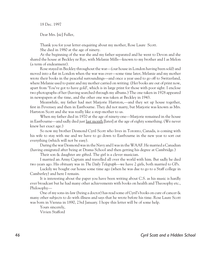18 Dec. 1997

Dear Mrs. [*sic*] Fuller,

Thank you for your letter enquiring about my mother, Rose Laure Scott. She died in 1980 at the age of ninety.

At the beginning of the war she and my father separated and he went to Devon and she shared the house at Beckley nr Rye, with Melanie Mills*—*known to my brother and I as Melon (a term of endearment).

Rose stayed in Beckley throughout the war*—*(our house in London having been sold) and moved into a flat in London when the war was over*—*some time later, Melanie and my mother wrote their books in the peaceful surroundings*—*and once a year used to go off to Switzerland, where Melanie used to paint and my mother carried on writing. (Her books are out of print now, apart from 'You've got to have gold', which is in large print for those with poor sight. I enclose two photographs of her (having searched through my albums.) The one taken in 1928 appeared in newspapers at the time, and the other one was taken at Beckley in 1943.

Meanwhile, my father had met Marjorie Hartston,*—*and they set up house together, first in Pevensey and then in Eastbourne. They did not marry, but Marjorie was known as Mrs. Hartston Scott and she was really like a step-mother to us.

When my father died in 1970 at the age of ninety-one*—*Marjorie remained in the house in Eastbourne*—*and sadly died just last month [later] at the age of eighty something. (We never knew her exact age.)

So now my brother Desmond Cyril Scott who lives in Toronto, Canada, is coming with his wife to stay with me and we have to go down to Eastbourne in the new year to sort out everything (which will not be easy).

During the war Desmond was in the Navy and I was in the WAAF. He married a Canadian (having emigrated after being at Drama School and then getting his degree at Cambridge.)

Their son & daughter are gifted. The girl is a clever musician.

I married an Army Captain and travelled all over the world with him. But sadly he died two years ago. His obituary was in *The Daily Telegraph—*we have 2 girls, both married to GPs.

Luckily we bought our house some time ago (when he was due to go to a Staff college in Camberley) and here I remain.

It is interesting about the paper you have been writing about C.S. as his music is hardly ever broadcast but he had many other achievements with books on health and Theosophy etc., Philosophy*—*

One of my sons-in-law (being a doctor) has read some of Cyril's books on cure of cancer & many other subjects to do with illness and says that he wrote before his time. Rose Laure Scott was born in Vienna in 1890, 23rd January. I hope this letter will be of some help.

Yours sincerely, Vivien Stafford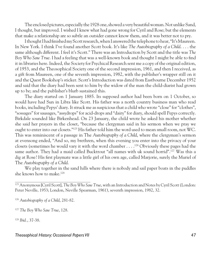The enclosed pictures, especially the 1928 one, showed a very beautiful woman. Not unlike Sand, I thought, but improved. I wished I knew what had gone wrong for Cyril and Rose; but the elements that make a relationship are so subtle an outsider cannot know them, and it was better not to pry.

I thought I had finished my Scott research, when I answered the telephone to hear, "It's Maureen. In New York. I think I've found another Scott book. It's like *The Autobiography of a Child*. . . . the same although different. I feel it's Scott." There was an Introduction by Scott and the title was *The Boy Who Saw True*. I had a feeling that was a well-known book and thought I might be able to find it in libraries here. Indeed, the Society for Psychical Research sent me a copy of the original edition, of 1953, and the Theosophical Society one of the second impression, 1961, and then I received, as a gift from Maureen, one of the seventh impression, 1982, with the publisher's wrapper still on it and the Quest Bookshop's sticker. Scott's Introduction was dated from Eastbourne December 1952 and said that the diary had been sent to him by the widow of the man the child-diarist had grown up to be; and the publisher's blurb sustained this.

The diary started on 1 January 1885. Its supposed author had been born on 1 October, so would have had Sun in Libra like Scott. His father was a north country business man who read books, including Pepys' diary. It struck me as suspicious that a child who wrote "close" for "clothes", "sossages" for sausages, "assydrops" for acid-drops and "dairy" for diary, should spell Pepys correctly. Birkdale sounded like Birkenhead. On 23 January, the child wrote he asked his mother whether she said her prayers in the closet, "because the clergyman said in his sermon when we pray we ought to enter into our closets."125 His father told him the word used to mean small room, not WC. This was reminiscent of a passage in The *Autobiography of a Child*, where the clergyman's sermon at evensong ended, "And so, my brethren, when this evening you enter into the privacy of your closets (sometimes he would vary it with the word chamber . . . .126 Obviously these pages had the same author. They had a maid called Bucktrout "all names with uk sound horrid".<sup>127</sup> Was this a dig at Rose? His first playmate was a little girl of his own age, called Marjorie, surely the Muriel of The *Autobiography of a Child*.

We play together in the sand hills where there is nobody and sail paper boats in the puddles she knows how to make.128

<sup>126</sup> *Autobiography of a Child*, 281-82.

<sup>127</sup> *The Boy Who Saw True*, 128.

<sup>128</sup> *Ibid.*, 37-38.

#### Theosophical History: Occasional Papers VII and the control of the control of the control of the control of the control of the control of the control of the control of the control of the control of the control of the contr

<sup>125</sup> Anonymous [Cyril Scott], *The Boy Who Saw True*, with an Introduction and Notes by Cyril Scott (London: Peter Neville, 1953; London, Neville Spearman, 1961), seventh impression, 1982, 32.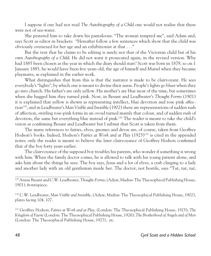I suppose if one had not read *The Autobiography of a Child* one would not realise that these were not of sea-water.

She pestered him to take down his pantaloons. "The woman tempted me", said Adam and, says Scott as editor in brackets: "Hereafter follow a few sentences which show that the child was obviously oversexed for her age and an exhibitionist at that . . ."

But the text that he claims to be editing is surely not that of the Victorian child but of his own *Autobiography of a Child*. He did not want it prosecuted again, in the revised version. Why had 1885 been chosen as the year in which the diary should start? Scott was born in 1879, so on 1 January 1885, he would have been five years old, the age of himself and Muriel when they became playmates, as explained in the earlier work.

What distinguishes that from this is that the narrator is made to be clairvoyant. He sees everybody's "lights", by which one is meant to divine their auras. People's lights go bluer when they go into church. His father's are only yellow. His mother's are blue most of the time, but sometimes when she hugged him they turned pink. Now, in Besant and Leadbeater's *Thought Forms* (1901) it is explained that yellow is shown as representing intellect, blue devotion and rose pink affection129, and in Leadbeater's *Man Visible and Invisible* (1902) there are representations of sudden rush of affection, swirling rose-pink forms in an ovoid turned mainly that colour, and of sudden rush of devotion, the same but everything blue instead of pink.130 The reader is meant to take the child's vision as confirming Besant and Leadbeater but I submit that Scott is taken from them.

The many references to fairies, elves, gnomes and devas are, of course, taken from Geoffrey Hodson's books. Indeed, Hodson's *Fairies at Work and at Play* (1925)131 is cited in the appended notes; only the reader is meant to believe the later clairvoyance of Geoffrey Hodson confirmed that of the boy forty years earlier.

The clairvoyance of the supposed boy troubles his parents, who wonder if something is wrong with him. When the family doctor comes, he is allowed to talk with his young patient alone, and asks him about the things he sees. The boy says, Jesus and a lot of elves, a crab clinging to a lady and another lady with an old gentleman inside her. The doctor, not hostile, says "Tut, tut, tut,

131 Geoffrey Hodson, *Fairies at Work and at Play*, (London: The Theosophical Publishing House, 1925); *The Kingdom of Faerie* (London: The Theosophical Publishing House, 1926); *The Brotherhood of Angels and of Men* (London: The Theosophical Publishing House, 1927), *etc*.

<sup>129</sup> Annie Besant and C.W. Leadbeater, *Thought-Forms*, (Adyar, Madras: The Theosophical Publishing House, 1901), frontispiece.

<sup>130</sup> C.W. Leadbeater, *Man Visible and Invisible*, (Adyar, Madras: The Theosophical Publishing House, 1902), plates facing 104, 107.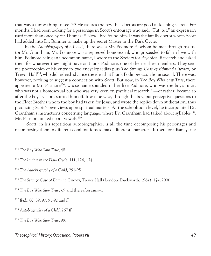that was a funny thing to see."132 He assures the boy that doctors are good at keeping secrets. For months, I had been looking for a personage in Scott's entourage who said, "Tut, tut," an expression used more than once by Sir Thomas.133 Now I had found him. It was the family doctor whom Scott had added into Dr. Bonnier to make up the secret Master in the Dark Cycle.

In the *Autobiography of a Child*, there was a Mr. Podmore<sup>134</sup>, whom he met through his tutor Mr. Grantham; Mr. Podmore was a repressed homosexual, who proceeded to fall in love with him. Podmore being an uncommon name, I wrote to the Society for Psychical Research and asked them for whatever they might have on Frank Podmore, one of their earliest members. They sent me photocopies of his entry in two encyclopaedias plus *The Strange Case of Edmund Gurney*, by Trevor Hall<sup>135</sup>, who did indeed advance the idea that Frank Podmore was a homosexual. There was, however, nothing to suggest a connection with Scott. But now, in *The Boy Who Saw True*, there appeared a Mr. Patmore136, whose name sounded rather like Podmore, who was the boy's tutor, who was not a homosexual but who was very keen on psychical research<sup>137</sup>—or rather, became so after the boy's visions started him off. It was he who, through the boy, put perceptive questions to the Elder Brother whom the boy had taken for Jesus, and wrote the replies down at dictation, thus producing Scott's own views upon spiritual matters. At the schoolroom level, he incorporated Dr. Grantham's instructions concerning language; where Dr. Grantham had talked about syllables<sup>138</sup>, Mr. Patmore talked about vowels.<sup>139</sup>

 Scott, in his repetitious autobiographies, is all the time decomposing his personages and recomposing them in different combinations to make different characters. It therefore dismays me

#### Theosophical History: Occasional Papers VII and the control of the control of the control of the control of the control of the control of the control of the control of the control of the control of the control of the contr

<sup>132</sup> *The Boy Who Saw True*, 48.

<sup>133</sup> *The Initiate in the Dark Cycle*, 111, 126, 134.

<sup>134</sup> *The Autobiography of a Child*, 291-95.

<sup>135</sup> *The Strange Case of Edmund Gurney*, Trevor Hall (London: Duckworth, 1964), 174, 200f.

<sup>136</sup> *The Boy Who Saw True,* 69 and thereafter *passim.*

<sup>137</sup> *Ibid.*, 80, 89, 90, 91-92 and ff.

<sup>138</sup> *Autobiography of a Child*, 267 ff.

<sup>139</sup> *The Boy Who Saw True*, 99.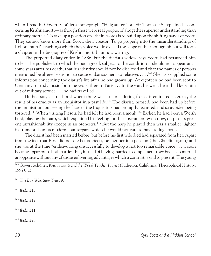when I read in Govert Schüller's monograph, "Haig stated" or "Sir Thomas"140 explained*—*concerning Krishnamurti*—*as though these were real people, of altogether superior understanding than ordinary mortals. To take up a position on "their" words is to build upon the shifting sands of Scott. They cannot know more than Scott, their creator. To go properly into the misunderstandings of Krishnamurti's teachings which they voice would exceed the scope of this monograph but will form a chapter in the biography of Krishnamurti I am now writing.

The purported diary ended in 1886, but the diarist's widow, says Scott, had persuaded him to let it be published, to which he had agreed, subject to the condition it should not appear until some years after his death, that his identity should not be disclosed and that the names of persons mentioned be altered so as not to cause embarrassment to relatives . . . .141 She also supplied some information concerning the diarist's life after he had grown up. At eighteen he had been sent to Germany to study music for some years, then to Paris . . . In the war, his weak heart had kept him out of military service . . . he had travelled . . . .

He had stayed in a hotel where there was a man suffering from disseminated sclerosis, the result of his cruelty as an Inquisitor in a past life.<sup>142</sup> The diarist, himself, had been had up before the Inquisition, but seeing the faces of the Inquisitors had promptly recanted, and so avoided being tortured.<sup>143</sup> When visiting Fiesoli, he had felt he had been a monk.<sup>144</sup> Earlier, he had been a Welsh bard, playing the harp, which explained his feeling for that instrument even now, despite its present unfashionability except in an orchestra.145 But the harp he played then was a smaller, lighter instrument than its modern counterpart, which he would not care to have to lug about.

The diarist had been married before, but before his first wife died had separated from her. Apart from the fact that Rose did not die before Scott, he met her in a pension (the Chaplins again) and she was at the time "endeavouring unsuccessfully to develop a not too remarkable voice . . . it soon became apparent to both parties that, instead of having married a complement they had each married an opposite without any of those enlivening advantages which a contrast is said to present. The young

<sup>141</sup> *The Boy Who Saw True*, 9.

<sup>142</sup> *Ibid.*, 215.

<sup>143</sup> *Ibid.*, 217.

<sup>144</sup> *Ibid.*, 211.

<sup>145</sup> *Ibid.*, 226.

<sup>140</sup> Govert Schüller, *Krishnamurti and the World Teacher Project* (Fullerton, California: Theosophical History, 1997), 12.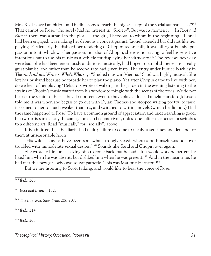Mrs. X. displayed ambitions and inclinations to reach the highest steps of the social staircase . . . ."<sup>146</sup> That cannot be Rose, who surely had no interest in "Society". But wait a moment . . . In *Root and Branch* there was a strand in the plot . . . the girl, Theodora, to whom in the beginning—Lionel had been engaged, was making her debut as a concert pianist. Lionel attended but did not like her playing. Particularly, he disliked her rendering of Chopin; technically it was all right but she put passion into it, which was her passion, not that of Chopin, she was not trying to feel his sensitive intentions but to use his music as a vehicle for displaying her virtuosity.147 The reviews next day were bad. She had been enormously ambitious, musically, had hoped to establish herself as a really great pianist, and rather than be second-rate had given it up. The entry under Eunice Buckley in *The Authors' and Writers' Who's Who* says "Studied music in Vienna." Sand was highly musical. She left her husband because he forbade her to play the piano. Yet after Chopin came to live with her, do we hear of her playing? Delacroix wrote of walking in the garden in the evening listening to the strains of Chopin's music wafted from his window to mingle with the scents of the roses. We do not hear of the strains of hers. They do not seem even to have played duets. Pamela Hansford Johnson told me it was when she began to go out with Dylan Thomas she stopped writing poetry, because it seemed to her so much weaker than his, and switched to writing novels (which he did not.) Had the same happened to Rose? To have a common ground of appreciation and understanding is good, but two artists in exactly the same genre can become rivals, unless one suffers extinction or switches to a different art. Read "musically" for "socially", above.

It is admitted that the diarist had faults; failure to come to meals at set times and demand for them at unseasonable hours.

"His wife seems to have been somewhat strongly sexed, whereas he himself was not over troubled with immoderate sexual desires."148 Sounds like Sand and Chopin over again.

She wrote to him once, asking him to come back, but he had felt it would work no better; she liked him when he was absent, but disliked him when he was present.149 And in the meantime, he had met this new girl, who was so sympathetic. This was Marjorie Hartston.<sup>150</sup>

But we are listening to Scott talking, and would like to hear the voice of Rose.

<sup>149</sup> *Ibid.*, 214.

<sup>150</sup> *Ibid.*, 208.

<sup>146</sup> *Ibid.*, 206.

<sup>147</sup> *Root and Branch*, 132.

<sup>148</sup> *The Boy Who Saw True*, 206-207.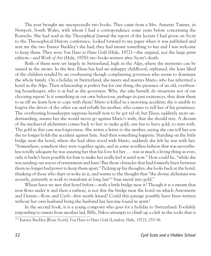The post brought me unexpectedly two books. They came from a Mrs. Annette Tanner, in Newport, South Wales, with whom I had a correspondence some years before concerning the Roerichs. She had read in the *Theosophical Journal* the report of the lecture I had given on Scott to the Theosophical History conference, looked forward to my paper when it was published and sent me the two Eunice Buckley's she had; they had meant something to her and I was welcome to keep them. They were *You Have to Have Gold* (Hale, 1972)*—*the original, not the large print edition*—*and *Work of Art* (Hale, 1978):two books written after Scott's death.

Both of them were set largely in Switzerland, high in the Alps, where the mysteries can be sensed in the snows. In the first, Elissa has had an unhappy childhood, orphaned, the least liked of the children tended by an overbearing though complaining governess who seems to dominate the whole family. On a holiday in Switzerland, she meets and marries Mario, who has inherited a hotel in the Alps. Their relationship is perfect but for one thing, the presence of an old, overbearing housekeeper, who is as bad as the governess. Why, she asks herself, do situations not of our choosing repeat? Is it something in our own behaviour, perhaps in past existences, that draw them to us till we learn how to cope with them? Mario is killed in a motoring accident; she is unable to forgive the driver of the other car and rebuffs his mother, who comes to tell her of his penitence. The overbearing housekeeper supposes herself now to be got rid of; but Elissa, suddenly more understanding, assures her she would never go against Mario's wish, that she should stay. A dictum of the mediaeval alchemists comes back to her: to make gold, one has to have gold, to start with. The gold in this case was forgiveness. She writes a letter to the mother, saying she can tell her son she no longer holds the accident against him. And then something happens. Standing on the little bridge near the hotel, where she had often stood with Mario, suddenly she felt he was with her. "Somewhere, somehow they were together again, and in some wordless fashion that was nevertheless totally adequate he was assuring her that his love for her . . . was as much a living thing as ever, only it hadn't been possible for him to make her really feel it until now." How could he, "while she was sending out waves of resentment and hate? But those obstacles that had formerly been between them no longer had power to keep them apart." Picking up his thoughts, she looks back at the hotel, thinking of those who slept or woke in it, and warms to the thought that "the divine alchemist was secretly, patiently at work to transform at long last<sup>151</sup> base metal into gold."

Where have we met that hotel before*—*with a little bridge near it? Though it is a stream that now flows under it and then a railway, is not this the bridge near the hotel on which Antoinette and Dennis*—*Rose and Cyril*—*first nearly kissed? Could this passage possibly have been written without her own husband being the husband her heroine found in spirit?

In the second book, it is a young composer who goes for a holiday to Switzerland. Foolishly responding to taunts from another lad, Billy, Nikos attempts to climb up a cleft in the rocks that is

<sup>151</sup> Eunice Buckley [Rose Scott], *You Have to Have Gold* (London: Hale, 1972), 255-56.